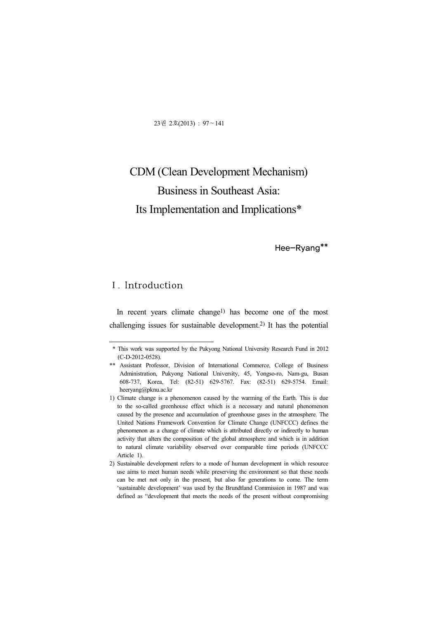23권 2호(2013) : 97~141

# CDM (Clean Development Mechanism) Business in Southeast Asia: Its Implementation and Implications\*

Hee-Ryang\*\*

### Ⅰ. Introduction

In recent years climate change1) has become one of the most challenging issues for sustainable development.2) It has the potential

<sup>\*</sup> This work was supported by the Pukyong National University Research Fund in 2012 (C-D-2012-0528).

<sup>\*\*</sup> Assistant Professor, Division of International Commerce, College of Business Administration, Pukyong National University, 45, Yongso-ro, Nam-gu, Busan 608-737, Korea, Tel: (82-51) 629-5767. Fax: (82-51) 629-5754. Email: heeryang@pknu.ac.kr

<sup>1)</sup> Climate change is a phenomenon caused by the warming of the Earth. This is due to the so-called greenhouse effect which is a necessary and natural phenomenon caused by the presence and accumulation of greenhouse gases in the atmosphere. The United Nations Framework Convention for Climate Change (UNFCCC) defines the phenomenon as a change of climate which is attributed directly or indirectly to human activity that alters the composition of the global atmosphere and which is in addition to natural climate variability observed over comparable time periods (UNFCCC Article 1).

<sup>2)</sup> Sustainable development refers to a mode of human development in which resource use aims to meet human needs while preserving the environment so that these needs can be met not only in the present, but also for generations to come. The term 'sustainable development' was used by the Brundtland Commission in 1987 and was defined as "development that meets the needs of the present without compromising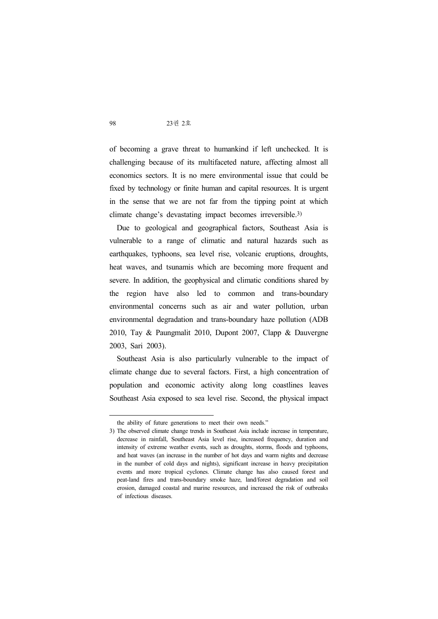of becoming a grave threat to humankind if left unchecked. It is challenging because of its multifaceted nature, affecting almost all economics sectors. It is no mere environmental issue that could be fixed by technology or finite human and capital resources. It is urgent in the sense that we are not far from the tipping point at which climate change's devastating impact becomes irreversible.3)

Due to geological and geographical factors, Southeast Asia is vulnerable to a range of climatic and natural hazards such as earthquakes, typhoons, sea level rise, volcanic eruptions, droughts, heat waves, and tsunamis which are becoming more frequent and severe. In addition, the geophysical and climatic conditions shared by the region have also led to common and trans-boundary environmental concerns such as air and water pollution, urban environmental degradation and trans-boundary haze pollution (ADB 2010, Tay & Paungmalit 2010, Dupont 2007, Clapp & Dauvergne 2003, Sari 2003).

Southeast Asia is also particularly vulnerable to the impact of climate change due to several factors. First, a high concentration of population and economic activity along long coastlines leaves Southeast Asia exposed to sea level rise. Second, the physical impact

the ability of future generations to meet their own needs."

<sup>3)</sup> The observed climate change trends in Southeast Asia include increase in temperature, decrease in rainfall, Southeast Asia level rise, increased frequency, duration and intensity of extreme weather events, such as droughts, storms, floods and typhoons, and heat waves (an increase in the number of hot days and warm nights and decrease in the number of cold days and nights), significant increase in heavy precipitation events and more tropical cyclones. Climate change has also caused forest and peat-land fires and trans-boundary smoke haze, land/forest degradation and soil erosion, damaged coastal and marine resources, and increased the risk of outbreaks of infectious diseases.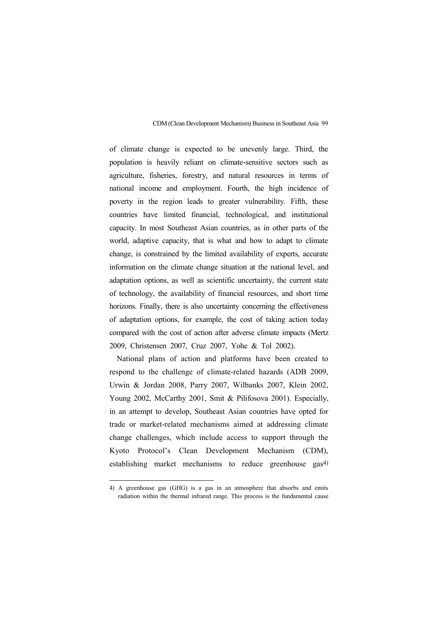of climate change is expected to be unevenly large. Third, the population is heavily reliant on climate-sensitive sectors such as agriculture, fisheries, forestry, and natural resources in terms of national income and employment. Fourth, the high incidence of poverty in the region leads to greater vulnerability. Fifth, these countries have limited financial, technological, and institutional capacity. In most Southeast Asian countries, as in other parts of the world, adaptive capacity, that is what and how to adapt to climate change, is constrained by the limited availability of experts, accurate information on the climate change situation at the national level, and adaptation options, as well as scientific uncertainty, the current state of technology, the availability of financial resources, and short time horizons. Finally, there is also uncertainty concerning the effectiveness of adaptation options, for example, the cost of taking action today compared with the cost of action after adverse climate impacts (Mertz 2009, Christensen 2007, Cruz 2007, Yohe & Tol 2002).

National plans of action and platforms have been created to respond to the challenge of climate-related hazards (ADB 2009, Urwin & Jordan 2008, Parry 2007, Wilbanks 2007, Klein 2002, Young 2002, McCarthy 2001, Smit & Pilifosova 2001). Especially, in an attempt to develop, Southeast Asian countries have opted for trade or market-related mechanisms aimed at addressing climate change challenges, which include access to support through the Kyoto Protocol's Clean Development Mechanism (CDM), establishing market mechanisms to reduce greenhouse gas<sup>4)</sup>

<sup>4)</sup> A greenhouse gas (GHG) is a gas in an atmosphere that absorbs and emits radiation within the thermal infrared range. This process is the fundamental cause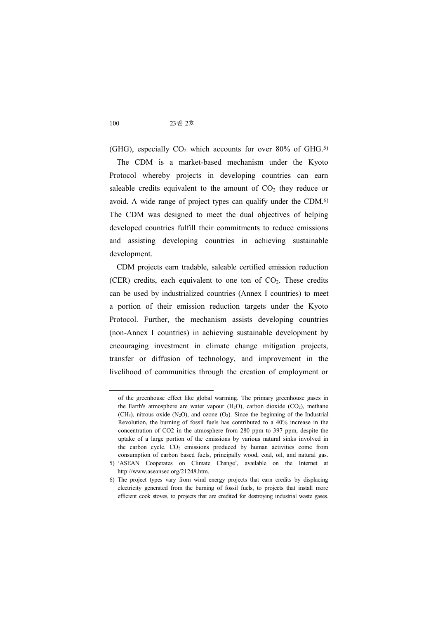(GHG), especially  $CO<sub>2</sub>$  which accounts for over 80% of GHG.<sup>5)</sup>

The CDM is a market-based mechanism under the Kyoto Protocol whereby projects in developing countries can earn saleable credits equivalent to the amount of  $CO<sub>2</sub>$  they reduce or avoid. A wide range of project types can qualify under the CDM.6) The CDM was designed to meet the dual objectives of helping developed countries fulfill their commitments to reduce emissions and assisting developing countries in achieving sustainable development.

CDM projects earn tradable, saleable certified emission reduction (CER) credits, each equivalent to one ton of  $CO<sub>2</sub>$ . These credits can be used by industrialized countries (Annex I countries) to meet a portion of their emission reduction targets under the Kyoto Protocol. Further, the mechanism assists developing countries (non-Annex I countries) in achieving sustainable development by encouraging investment in climate change mitigation projects, transfer or diffusion of technology, and improvement in the livelihood of communities through the creation of employment or

of the greenhouse effect like global warming. The primary greenhouse gases in the Earth's atmosphere are water vapour  $(H_2O)$ , carbon dioxide  $(CO_2)$ , methane (CH<sub>4</sub>), nitrous oxide (N<sub>2</sub>O), and ozone (O<sub>3</sub>). Since the beginning of the Industrial Revolution, the burning of fossil fuels has contributed to a 40% increase in the concentration of CO2 in the atmosphere from 280 ppm to 397 ppm, despite the uptake of a large portion of the emissions by various natural sinks involved in the carbon cycle.  $CO<sub>2</sub>$  emissions produced by human activities come from consumption of carbon based fuels, principally wood, coal, oil, and natural gas.

<sup>5)</sup> 'ASEAN Cooperates on Climate Change', available on the Internet at http://www.aseansec.org/21248.htm.

<sup>6)</sup> The project types vary from wind energy projects that earn credits by displacing electricity generated from the burning of fossil fuels, to projects that install more efficient cook stoves, to projects that are credited for destroying industrial waste gases.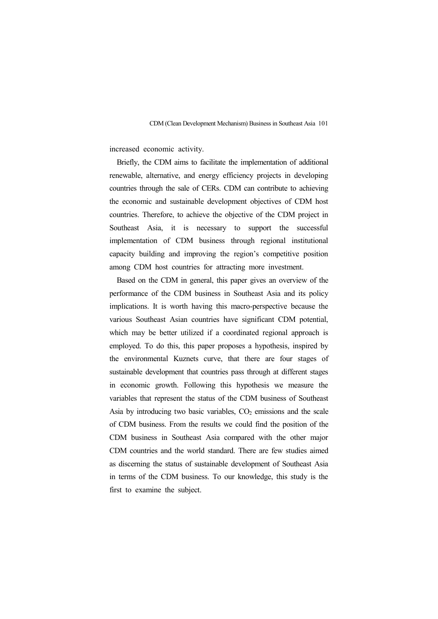increased economic activity.

Briefly, the CDM aims to facilitate the implementation of additional renewable, alternative, and energy efficiency projects in developing countries through the sale of CERs. CDM can contribute to achieving the economic and sustainable development objectives of CDM host countries. Therefore, to achieve the objective of the CDM project in Southeast Asia, it is necessary to support the successful implementation of CDM business through regional institutional capacity building and improving the region's competitive position among CDM host countries for attracting more investment.

Based on the CDM in general, this paper gives an overview of the performance of the CDM business in Southeast Asia and its policy implications. It is worth having this macro-perspective because the various Southeast Asian countries have significant CDM potential, which may be better utilized if a coordinated regional approach is employed. To do this, this paper proposes a hypothesis, inspired by the environmental Kuznets curve, that there are four stages of sustainable development that countries pass through at different stages in economic growth. Following this hypothesis we measure the variables that represent the status of the CDM business of Southeast Asia by introducing two basic variables,  $CO<sub>2</sub>$  emissions and the scale of CDM business. From the results we could find the position of the CDM business in Southeast Asia compared with the other major CDM countries and the world standard. There are few studies aimed as discerning the status of sustainable development of Southeast Asia in terms of the CDM business. To our knowledge, this study is the first to examine the subject.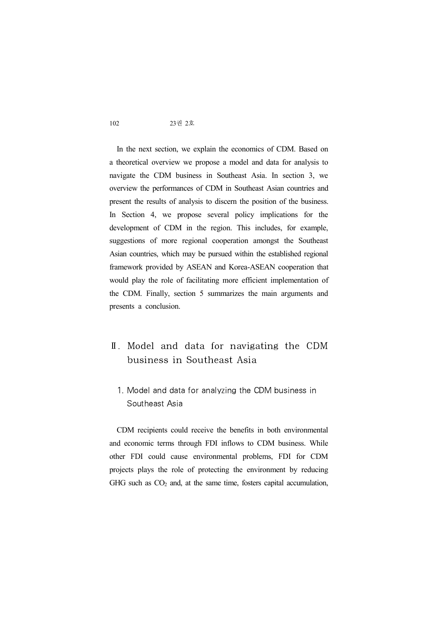In the next section, we explain the economics of CDM. Based on a theoretical overview we propose a model and data for analysis to navigate the CDM business in Southeast Asia. In section 3, we overview the performances of CDM in Southeast Asian countries and present the results of analysis to discern the position of the business. In Section 4, we propose several policy implications for the development of CDM in the region. This includes, for example, suggestions of more regional cooperation amongst the Southeast Asian countries, which may be pursued within the established regional framework provided by ASEAN and Korea-ASEAN cooperation that would play the role of facilitating more efficient implementation of the CDM. Finally, section 5 summarizes the main arguments and presents a conclusion.

- Ⅱ. Model and data for navigating the CDM business in Southeast Asia
	- 1. Model and data for analyzing the CDM business in Southeast Asia

CDM recipients could receive the benefits in both environmental and economic terms through FDI inflows to CDM business. While other FDI could cause environmental problems, FDI for CDM projects plays the role of protecting the environment by reducing GHG such as  $CO<sub>2</sub>$  and, at the same time, fosters capital accumulation,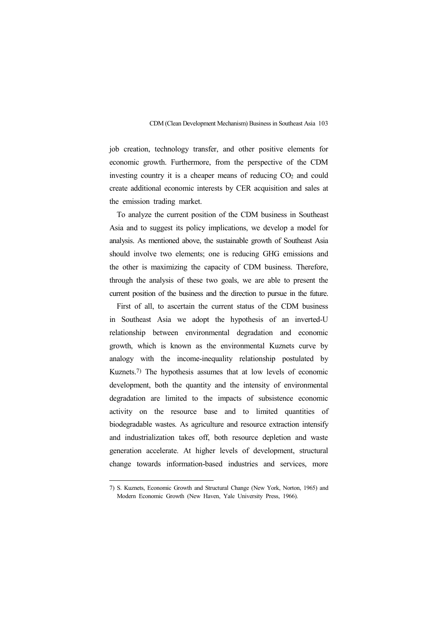job creation, technology transfer, and other positive elements for economic growth. Furthermore, from the perspective of the CDM investing country it is a cheaper means of reducing  $CO<sub>2</sub>$  and could create additional economic interests by CER acquisition and sales at the emission trading market.

To analyze the current position of the CDM business in Southeast Asia and to suggest its policy implications, we develop a model for analysis. As mentioned above, the sustainable growth of Southeast Asia should involve two elements; one is reducing GHG emissions and the other is maximizing the capacity of CDM business. Therefore, through the analysis of these two goals, we are able to present the current position of the business and the direction to pursue in the future.

First of all, to ascertain the current status of the CDM business in Southeast Asia we adopt the hypothesis of an inverted-U relationship between environmental degradation and economic growth, which is known as the environmental Kuznets curve by analogy with the income-inequality relationship postulated by Kuznets.7) The hypothesis assumes that at low levels of economic development, both the quantity and the intensity of environmental degradation are limited to the impacts of subsistence economic activity on the resource base and to limited quantities of biodegradable wastes. As agriculture and resource extraction intensify and industrialization takes off, both resource depletion and waste generation accelerate. At higher levels of development, structural change towards information-based industries and services, more

<sup>7)</sup> S. Kuznets, Economic Growth and Structural Change (New York, Norton, 1965) and Modern Economic Growth (New Haven, Yale University Press, 1966).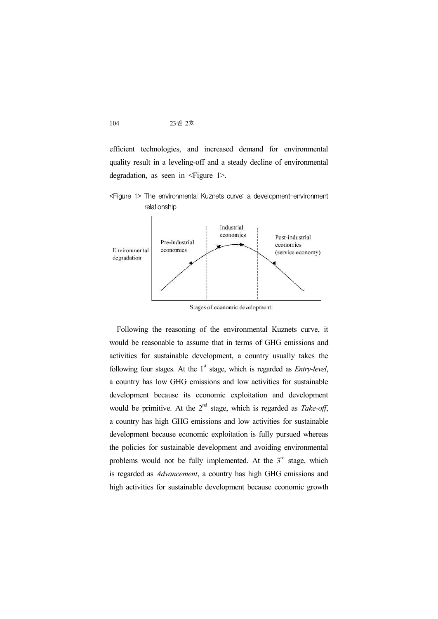efficient technologies, and increased demand for environmental quality result in a leveling-off and a steady decline of environmental degradation, as seen in <Figure 1>.





Stages of economic development

Following the reasoning of the environmental Kuznets curve, it would be reasonable to assume that in terms of GHG emissions and activities for sustainable development, a country usually takes the following four stages. At the 1<sup>st</sup> stage, which is regarded as *Entry-level*, a country has low GHG emissions and low activities for sustainable development because its economic exploitation and development would be primitive. At the 2<sup>nd</sup> stage, which is regarded as *Take-off*, a country has high GHG emissions and low activities for sustainable development because economic exploitation is fully pursued whereas the policies for sustainable development and avoiding environmental problems would not be fully implemented. At the  $3<sup>rd</sup>$  stage, which is regarded as *Advancement*, a country has high GHG emissions and high activities for sustainable development because economic growth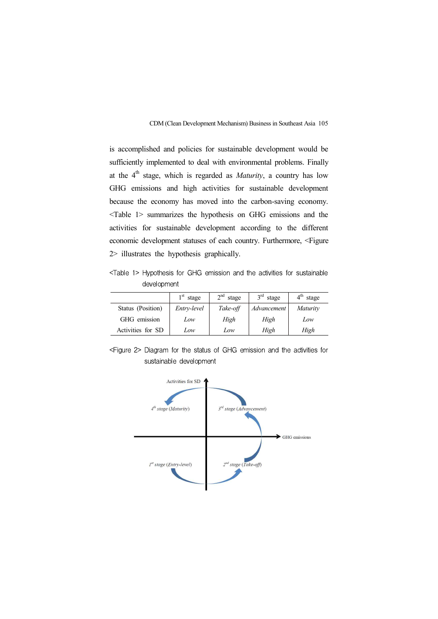is accomplished and policies for sustainable development would be sufficiently implemented to deal with environmental problems. Finally at the 4 th stage, which is regarded as *Maturity*, a country has low GHG emissions and high activities for sustainable development because the economy has moved into the carbon-saving economy. <Table 1> summarizes the hypothesis on GHG emissions and the activities for sustainable development according to the different economic development statuses of each country. Furthermore, <Figure 2> illustrates the hypothesis graphically.

<Table 1> Hypothesis for GHG emission and the activities for sustainable development

|                   | 1 <sup>st</sup><br>stage | $2nd$ stage | $3rd$ stage | $4^{\text{th}}$<br>stage |  |
|-------------------|--------------------------|-------------|-------------|--------------------------|--|
| Status (Position) | Entry-level              | Take-off    | Advancement | <i>Maturity</i>          |  |
| GHG emission      | Low                      | High        | High        | Low                      |  |
| Activities for SD | Low                      | Low         | High        | High                     |  |

<Figure 2> Diagram for the status of GHG emission and the activities for sustainable development

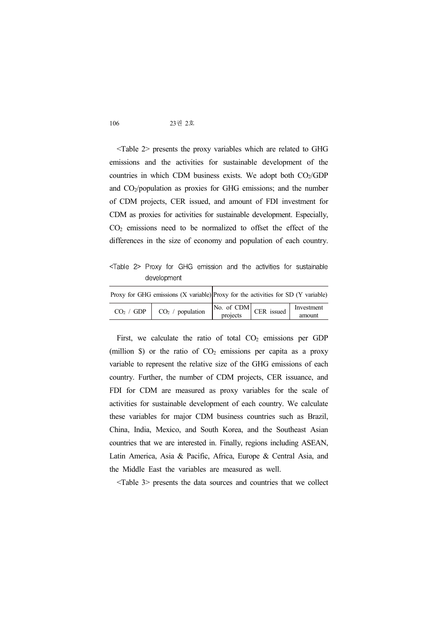<Table 2> presents the proxy variables which are related to GHG emissions and the activities for sustainable development of the countries in which CDM business exists. We adopt both  $CO<sub>2</sub>/GDP$ and CO2/population as proxies for GHG emissions; and the number of CDM projects, CER issued, and amount of FDI investment for CDM as proxies for activities for sustainable development. Especially,  $CO<sub>2</sub>$  emissions need to be normalized to offset the effect of the differences in the size of economy and population of each country.

<Table 2> Proxy for GHG emission and the activities for sustainable development

| Proxy for GHG emissions $(X$ variable) Proxy for the activities for SD $(Y$ variable) |                                                                                           |            |
|---------------------------------------------------------------------------------------|-------------------------------------------------------------------------------------------|------------|
| $CO_2 / GDP \mid CO_2 / population \mid$                                              | $\begin{array}{ c c c c c c } \hline \text{No. of CDM} & \text{CER issued} & \end{array}$ | Investment |
|                                                                                       |                                                                                           | amount     |

First, we calculate the ratio of total  $CO<sub>2</sub>$  emissions per GDP (million  $\hat{S}$ ) or the ratio of  $CO<sub>2</sub>$  emissions per capita as a proxy variable to represent the relative size of the GHG emissions of each country. Further, the number of CDM projects, CER issuance, and FDI for CDM are measured as proxy variables for the scale of activities for sustainable development of each country. We calculate these variables for major CDM business countries such as Brazil, China, India, Mexico, and South Korea, and the Southeast Asian countries that we are interested in. Finally, regions including ASEAN, Latin America, Asia & Pacific, Africa, Europe & Central Asia, and the Middle East the variables are measured as well.

<Table 3> presents the data sources and countries that we collect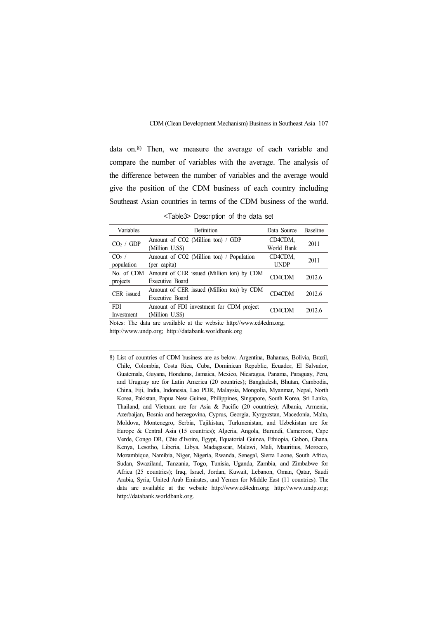data on.8) Then, we measure the average of each variable and compare the number of variables with the average. The analysis of the difference between the number of variables and the average would give the position of the CDM business of each country including Southeast Asian countries in terms of the CDM business of the world.

<Table3> Description of the data set

| Variables                | Definition                                                              | Data Source            | <b>Baseline</b> |
|--------------------------|-------------------------------------------------------------------------|------------------------|-----------------|
| CO <sub>2</sub> / GDP    | Amount of CO2 (Million ton) / GDP<br>(Million U.S\$)                    | CD4CDM,<br>World Bank  | 2011            |
| $CO2$ /<br>population    | Amount of CO2 (Million ton) / Population<br>(per capita)                | CD4CDM,<br><b>UNDP</b> | 2011            |
| projects                 | No. of CDM Amount of CER issued (Million ton) by CDM<br>Executive Board | CD4CDM                 | 2012.6          |
| CER issued               | Amount of CER issued (Million ton) by CDM<br>Executive Board            | CD4CDM                 | 2012.6          |
| <b>FDI</b><br>Investment | Amount of FDI investment for CDM project<br>(Million U.S\$)             | CD4CDM                 | 2012.6          |

Notes: The data are available at the website http://www.cd4cdm.org; http://www.undp.org; http://databank.worldbank.org

<sup>8)</sup> List of countries of CDM business are as below. Argentina, Bahamas, Bolivia, Brazil, Chile, Colombia, Costa Rica, Cuba, Dominican Republic, Ecuador, El Salvador, Guatemala, Guyana, Honduras, Jamaica, Mexico, Nicaragua, Panama, Paraguay, Peru, and Uruguay are for Latin America (20 countries); Bangladesh, Bhutan, Cambodia, China, Fiji, India, Indonesia, Lao PDR, Malaysia, Mongolia, Myanmar, Nepal, North Korea, Pakistan, Papua New Guinea, Philippines, Singapore, South Korea, Sri Lanka, Thailand, and Vietnam are for Asia & Pacific (20 countries); Albania, Armenia, Azerbaijan, Bosnia and herzegovina, Cyprus, Georgia, Kyrgyzstan, Macedonia, Malta, Moldova, Montenegro, Serbia, Tajikistan, Turkmenistan, and Uzbekistan are for Europe & Central Asia (15 countries); Algeria, Angola, Burundi, Cameroon, Cape Verde, Congo DR, Côte d'Ivoire, Egypt, Equatorial Guinea, Ethiopia, Gabon, Ghana, Kenya, Lesotho, Liberia, Libya, Madagascar, Malawi, Mali, Mauritius, Morocco, Mozambique, Namibia, Niger, Nigeria, Rwanda, Senegal, Sierra Leone, South Africa, Sudan, Swaziland, Tanzania, Togo, Tunisia, Uganda, Zambia, and Zimbabwe for Africa (25 countries); Iraq, Israel, Jordan, Kuwait, Lebanon, Oman, Qatar, Saudi Arabia, Syria, United Arab Emirates, and Yemen for Middle East (11 countries). The data are available at the website http://www.cd4cdm.org; http://www.undp.org; http://databank.worldbank.org.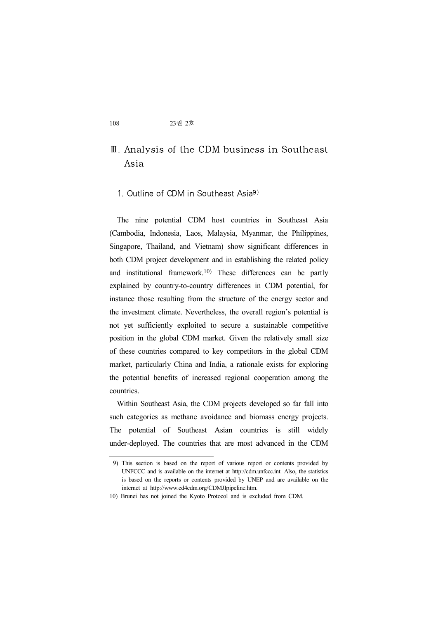# Ⅲ. Analysis of the CDM business in Southeast Asia

#### 1. Outline of CDM in Southeast Asia9)

The nine potential CDM host countries in Southeast Asia (Cambodia, Indonesia, Laos, Malaysia, Myanmar, the Philippines, Singapore, Thailand, and Vietnam) show significant differences in both CDM project development and in establishing the related policy and institutional framework.10) These differences can be partly explained by country-to-country differences in CDM potential, for instance those resulting from the structure of the energy sector and the investment climate. Nevertheless, the overall region's potential is not yet sufficiently exploited to secure a sustainable competitive position in the global CDM market. Given the relatively small size of these countries compared to key competitors in the global CDM market, particularly China and India, a rationale exists for exploring the potential benefits of increased regional cooperation among the countries.

Within Southeast Asia, the CDM projects developed so far fall into such categories as methane avoidance and biomass energy projects. The potential of Southeast Asian countries is still widely under-deployed. The countries that are most advanced in the CDM

<sup>9)</sup> This section is based on the report of various report or contents provided by UNFCCC and is available on the internet at http://cdm.unfccc.int. Also, the statistics is based on the reports or contents provided by UNEP and are available on the internet at http://www.cd4cdm.org/CDMJIpipeline.htm. 10) Brunei has not joined the Kyoto Protocol and is excluded from CDM.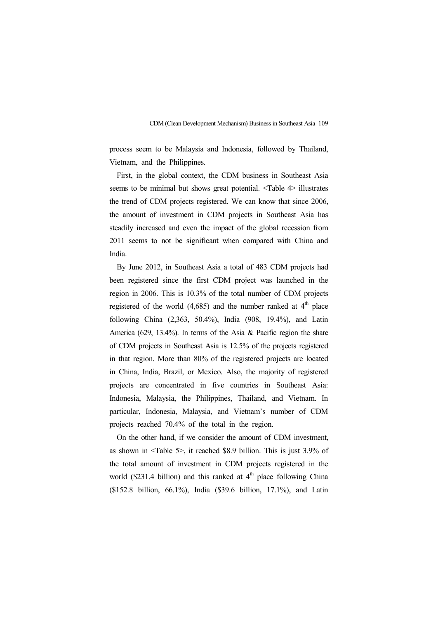process seem to be Malaysia and Indonesia, followed by Thailand, Vietnam, and the Philippines.

First, in the global context, the CDM business in Southeast Asia seems to be minimal but shows great potential. <Table 4> illustrates the trend of CDM projects registered. We can know that since 2006, the amount of investment in CDM projects in Southeast Asia has steadily increased and even the impact of the global recession from 2011 seems to not be significant when compared with China and India.

By June 2012, in Southeast Asia a total of 483 CDM projects had been registered since the first CDM project was launched in the region in 2006. This is 10.3% of the total number of CDM projects registered of the world  $(4,685)$  and the number ranked at  $4<sup>th</sup>$  place following China (2,363, 50.4%), India (908, 19.4%), and Latin America (629, 13.4%). In terms of the Asia & Pacific region the share of CDM projects in Southeast Asia is 12.5% of the projects registered in that region. More than 80% of the registered projects are located in China, India, Brazil, or Mexico. Also, the majority of registered projects are concentrated in five countries in Southeast Asia: Indonesia, Malaysia, the Philippines, Thailand, and Vietnam. In particular, Indonesia, Malaysia, and Vietnam's number of CDM projects reached 70.4% of the total in the region.

On the other hand, if we consider the amount of CDM investment, as shown in <Table 5>, it reached \$8.9 billion. This is just 3.9% of the total amount of investment in CDM projects registered in the world (\$231.4 billion) and this ranked at  $4<sup>th</sup>$  place following China (\$152.8 billion, 66.1%), India (\$39.6 billion, 17.1%), and Latin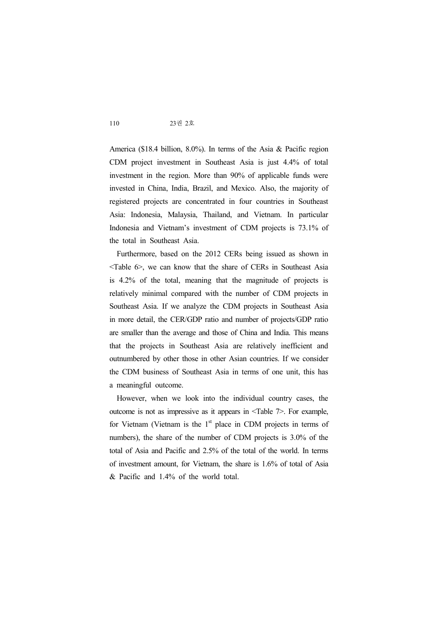America (\$18.4 billion, 8.0%). In terms of the Asia & Pacific region CDM project investment in Southeast Asia is just 4.4% of total investment in the region. More than 90% of applicable funds were invested in China, India, Brazil, and Mexico. Also, the majority of registered projects are concentrated in four countries in Southeast Asia: Indonesia, Malaysia, Thailand, and Vietnam. In particular Indonesia and Vietnam's investment of CDM projects is 73.1% of the total in Southeast Asia.

Furthermore, based on the 2012 CERs being issued as shown in <Table 6>, we can know that the share of CERs in Southeast Asia is 4.2% of the total, meaning that the magnitude of projects is relatively minimal compared with the number of CDM projects in Southeast Asia. If we analyze the CDM projects in Southeast Asia in more detail, the CER/GDP ratio and number of projects/GDP ratio are smaller than the average and those of China and India. This means that the projects in Southeast Asia are relatively inefficient and outnumbered by other those in other Asian countries. If we consider the CDM business of Southeast Asia in terms of one unit, this has a meaningful outcome.

However, when we look into the individual country cases, the outcome is not as impressive as it appears in <Table 7>. For example, for Vietnam (Vietnam is the  $1<sup>st</sup>$  place in CDM projects in terms of numbers), the share of the number of CDM projects is 3.0% of the total of Asia and Pacific and 2.5% of the total of the world. In terms of investment amount, for Vietnam, the share is 1.6% of total of Asia & Pacific and 1.4% of the world total.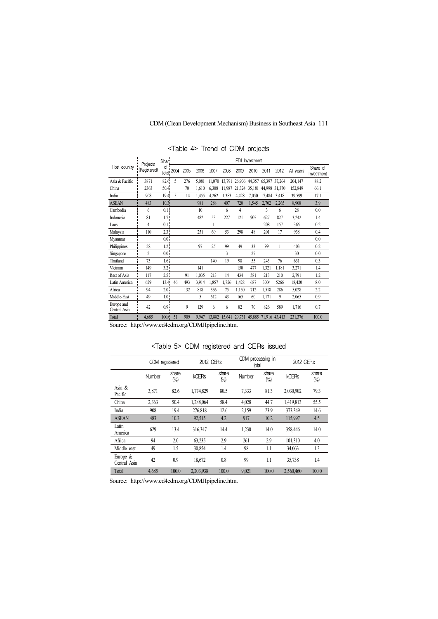|                            |                          | Sharl            |      |      |       |        |        | FDI    | Investment |                                           |        |           |                        |
|----------------------------|--------------------------|------------------|------|------|-------|--------|--------|--------|------------|-------------------------------------------|--------|-----------|------------------------|
| Host country               | Projects<br>(Registered) | of !<br>total    | 2004 | 2005 | 2006  | 2007   | 2008   | 2009   | 2010       | 2011                                      | 2012   | All years | Share of<br>Investment |
| Asia & Pacific             | 3871                     | 82.6             | 5    | 276  | 5,081 | 11.070 | 13.791 |        |            | 26,906 44,357 65,397 37,264               |        | 204,147   | 88.2                   |
| China                      | 2363                     | 50.4             |      | 70   | 1.610 | 6.308  | 11.987 | 21.324 | 35.181     | 44.998                                    | 31.370 | 152,849   | 66.1                   |
| India                      | 908                      | 19.4             | 5    | 114  | 1,455 | 4,262  | 1,383  | 4,428  | 7,050      | 17,484                                    | 3.418  | 39,599    | 17.1                   |
| <b>ASEAN</b>               | 483                      | 10.3             |      |      | 981   | 288    | 407    | 720    | 1,545      | 2,702                                     | 2,265  | 8,908     | 3.9                    |
| Cambodia                   | 6                        | 0.1 <sup>1</sup> |      |      | 10    |        | 6      | 4      |            | 3                                         | 6      | 28        | 0.0                    |
| Indonesia                  | 81                       | 1.7 <sub>1</sub> |      |      | 482   | 53     | 227    | 121    | 905        | 627                                       | 827    | 3,242     | 1.4                    |
| Laos                       | 4                        | 0.1 <sup>1</sup> |      |      |       |        |        |        |            | 208                                       | 157    | 366       | 0.2                    |
| Malaysia                   | 110                      | 2.3!             |      |      | 251   | 69     | 53     | 298    | 48         | 201                                       | 17     | 938       | 0.4                    |
| Myanmar                    |                          | 0.0 <sup>1</sup> |      |      |       |        |        |        |            |                                           |        |           | 0.0                    |
| Philippines                | 58                       | 1.2 <sub>1</sub> |      |      | 97    | 25     | 99     | 49     | 33         | 99                                        | 1      | 403       | 0.2                    |
| Singapore                  | $\overline{c}$           | 0.0 <sup>1</sup> |      |      |       |        | 3      |        | 27         |                                           |        | 30        | 0.0                    |
| Thailand                   | 73                       | 1.6 <sup>1</sup> |      |      |       | 140    | 19     | 98     | 55         | 243                                       | 76     | 631       | 0.3                    |
| Vietnam                    | 149                      | 3.2 <sup>1</sup> |      |      | 141   |        |        | 150    | 477        | 1,321                                     | 1,181  | 3,271     | 1.4                    |
| Rest of Asia               | 117                      | 2.5 <sup>1</sup> |      | 91   | 1,035 | 213    | 14     | 434    | 581        | 213                                       | 210    | 2,791     | 1.2                    |
| Latin America              | 629                      | 13.4             | 46   | 493  | 3,914 | 1,857  | 1,726  | 1,428  | 687        | 3004                                      | 5266   | 18,420    | 8.0                    |
| Africa                     | 94                       | 2.0 <sup>1</sup> |      | 132  | 818   | 336    | 75     | 1.150  | 712        | 1,518                                     | 286    | 5,028     | 2.2                    |
| Middle-East                | 49                       | 1.0 <sub>1</sub> |      |      | 5     | 612    | 43     | 165    | 60         | 1,171                                     | 9      | 2,065     | 0.9                    |
| Europe and<br>Central Asia | 42                       | 0.9 <sup>1</sup> |      | 9    | 129   | 6      | 6      | 82     | 70         | 826                                       | 589    | 1,716     | 0.7                    |
| Total                      | 4,685                    | 100.6            | 51   | 909  | 9.947 |        |        |        |            | 13,882 15,641 29,731 45,885 71,916 43,413 |        | 231,376   | 100.0                  |

<Table 4> Trend of CDM projects

Source: http://www.cd4cdm.org/CDMJIpipeline.htm.

<Table 5> CDM registered and CERs issued

|                             | CDM registered |              | 2012 CERs |              | CDM processing in<br>total |              | 2012 CERs    |              |
|-----------------------------|----------------|--------------|-----------|--------------|----------------------------|--------------|--------------|--------------|
|                             | Number         | share<br>(%) | kCERs     | share<br>(%) | Number                     | share<br>(%) | <b>kCERs</b> | share<br>(%) |
| Asia $\&$<br>Pacific        | 3,871          | 82.6         | 1,774,829 | 80.5         | 7.333                      | 81.3         | 2,030,902    | 79.3         |
| China                       | 2,363          | 50.4         | 1,288,064 | 58.4         | 4,028                      | 44.7         | 1,419,813    | 55.5         |
| India                       | 908            | 19.4         | 276,818   | 12.6         | 2,159                      | 23.9         | 373,349      | 14.6         |
| <b>ASEAN</b>                | 483            | 10.3         | 92,515    | 4.2          | 917                        | 10.2         | 115,997      | 4.5          |
| Latin<br>America            | 629            | 13.4         | 316,347   | 14.4         | 1.230                      | 14.0         | 358.446      | 14.0         |
| Africa                      | 94             | 2.0          | 63,235    | 2.9          | 261                        | 2.9          | 101,310      | 4.0          |
| Middle east                 | 49             | 1.5          | 30,854    | 1.4          | 98                         | 1.1          | 34.063       | 1.3          |
| Europe $\&$<br>Central Asia | 42             | 0.9          | 18,672    | 0.8          | 99                         | 1.1          | 35,738       | 1.4          |
| Total                       | 4.685          | 100.0        | 2.203.938 | 100.0        | 9.021                      | 100.0        | 2.560,460    | 100.0        |

Source: http://www.cd4cdm.org/CDMJIpipeline.htm.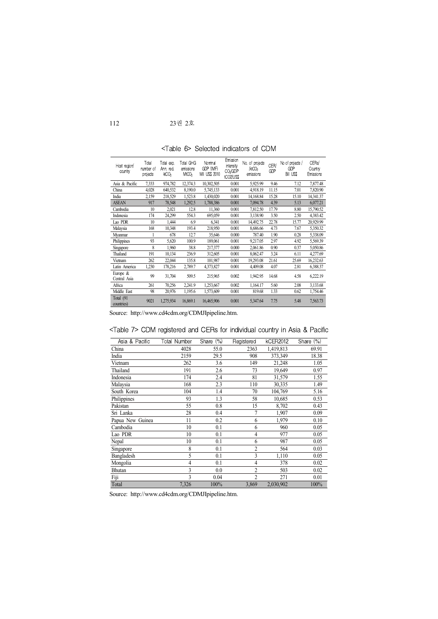<Table 6> Selected indicators of CDM

| Host region/<br>country  | Total<br>number of<br>projects | Total exp.<br>Ann. red.<br>ktCO <sub>2</sub> | Total GHG<br>emissions<br>MtCO <sub>2</sub> | Nominal<br>GDP (IMF)<br>Mill US\$ 2010 | Emission<br>intensity<br>CO <sub>2</sub> /GDP<br>tCO2/US\$ | No. of projects<br>ktCO <sub>2</sub><br>emissions | CER/<br>GDP | No of projects /<br>GDP<br><b>Bill USS</b> | CERs/<br>Country<br>Emissions |
|--------------------------|--------------------------------|----------------------------------------------|---------------------------------------------|----------------------------------------|------------------------------------------------------------|---------------------------------------------------|-------------|--------------------------------------------|-------------------------------|
| Asia & Pacific           | 7,333                          | 974,782                                      | 12,374.3                                    | 10,302,505                             | 0.001                                                      | 5,925.99                                          | 9.46        | 7.12                                       | 7,877.48                      |
| China                    | 4,028                          | 640,532                                      | 8,190.0                                     | 5,745,133                              | 0.001                                                      | 4,918.19                                          | 11.15       | 7.01                                       | 7,820.90                      |
| India                    | 2,159                          | 218,529                                      | 1,523.8                                     | 1,430,020                              | 0.001                                                      | 14,168.84                                         | 15.28       | 15.10                                      | 14,341.37                     |
| <b>ASEAN</b>             | 917                            | 78,548                                       | 1,292.5                                     | 1,788,386                              | 0.001                                                      | 7,094.78                                          | 4.39        | 5.13                                       | 6,077.21                      |
| Cambodia                 | 10                             | 2,021                                        | 12.8                                        | 11,360                                 | 0.001                                                      | 7,812.50                                          | 17.79       | 8.80                                       | 15,790.52                     |
| Indonesia                | 174                            | 24,299                                       | 554.3                                       | 695,059                                | 0.001                                                      | 3,138.90                                          | 3.50        | 2.50                                       | 4,383.42                      |
| Lao PDR                  | 10                             | 1,444                                        | 6.9                                         | 6,341                                  | 0.001                                                      | 14,492.75                                         | 22.78       | 15.77                                      | 20,929.99                     |
| Malaysia                 | 168                            | 10,348                                       | 193.4                                       | 218,950                                | 0.001                                                      | 8,686.66                                          | 4.73        | 7.67                                       | 5,350.32                      |
| Myanmar                  |                                | 678                                          | 12.7                                        | 35,646                                 | 0.000                                                      | 787.40                                            | 1.90        | 0.28                                       | 5,338.09                      |
| Philippines              | 93                             | 5,620                                        | 100.9                                       | 189,061                                | 0.001                                                      | 9,217.05                                          | 2.97        | 4.92                                       | 5,569.39                      |
| Singapore                | 8                              | 1,960                                        | 38.8                                        | 217,377                                | 0.000                                                      | 2,061.86                                          | 0.90        | 0.37                                       | 5,050.86                      |
| Thailand                 | 191                            | 10,134                                       | 236.9                                       | 312,605                                | 0.001                                                      | 8,062.47                                          | 3.24        | 6.11                                       | 4,277.69                      |
| Vietnam                  | 262                            | 22,044                                       | 135.8                                       | 101,987                                | 0.001                                                      | 19,293.08                                         | 21.61       | 25.69                                      | 16,232.63                     |
| Latin America            | 1,230                          | 178,216                                      | 2,789.7                                     | 4,373,827                              | 0.001                                                      | 4,409.08                                          | 4.07        | 2.81                                       | 6,388.37                      |
| Europe &<br>Central Asia | 99                             | 31,704                                       | 509.5                                       | 215,965                                | 0.002                                                      | 1,942.95                                          | 14.68       | 4.58                                       | 6,222.19                      |
| Africa                   | 261                            | 70,256                                       | 2,241.9                                     | 1,253,667                              | 0.002                                                      | 1,164.17                                          | 5.60        | 2.08                                       | 3,133.68                      |
| Middle East              | 98                             | 20.976                                       | 1,195.6                                     | 1,573,609                              | 0.001                                                      | 819.68                                            | 1.33        | 0.62                                       | 1,754.46                      |
| Total (91<br>countries)  | 9021                           | 1,275,934                                    | 16,869.1                                    | 16,465,906                             | 0.001                                                      | 5,347.64                                          | 7.75        | 5.48                                       | 7,563.73                      |

Source: http://www.cd4cdm.org/CDMJIpipeline.htm.

| Asia & Pacific   | Total Number | Share (%) | Registered     | kCER2012  | Share (%) |
|------------------|--------------|-----------|----------------|-----------|-----------|
| China            | 4028         | 55.0      | 2363           | 1,419,813 | 69.91     |
| India            | 2159         | 29.5      | 908            | 373,349   | 18.38     |
| Vietnam          | 262          | 3.6       | 149            | 21,248    | 1.05      |
| Thailand         | 191          | 2.6       | 73             | 19,649    | 0.97      |
| Indonesia        | 174          | 2.4       | 81             | 31,579    | 1.55      |
| Malaysia         | 168          | 2.3       | 110            | 30,335    | 1.49      |
| South Korea      | 104          | 1.4       | 70             | 104,769   | 5.16      |
| Philippines      | 93           | 1.3       | 58             | 10,685    | 0.53      |
| Pakistan         | 55           | 0.8       | 15             | 8,702     | 0.43      |
| Sri Lanka        | 28           | 0.4       | $\overline{7}$ | 1,907     | 0.09      |
| Papua New Guinea | 11           | 0.2       | 6              | 1,979     | 0.10      |
| Cambodia         | 10           | 0.1       | 6              | 960       | 0.05      |
| Lao PDR          | 10           | 0.1       | 4              | 977       | 0.05      |
| Nepal            | 10           | 0.1       | 6              | 987       | 0.05      |
| Singapore        | 8            | 0.1       | $\overline{2}$ | 564       | 0.03      |
| Bangladesh       | 5            | 0.1       | 3              | 1,110     | 0.05      |
| Mongolia         | 4            | 0.1       | 4              | 378       | 0.02      |
| Bhutan           | 3            | 0.0       | $\overline{2}$ | 503       | 0.02      |
| Fiji             | 3            | 0.04      | $\overline{2}$ | 271       | 0.01      |
| Total            | 7,326        | 100%      | 3,869          | 2,030,902 | 100%      |

<Table 7> CDM registered and CERs forindividual country in Asia & Pacific

Source: http://www.cd4cdm.org/CDMJIpipeline.htm.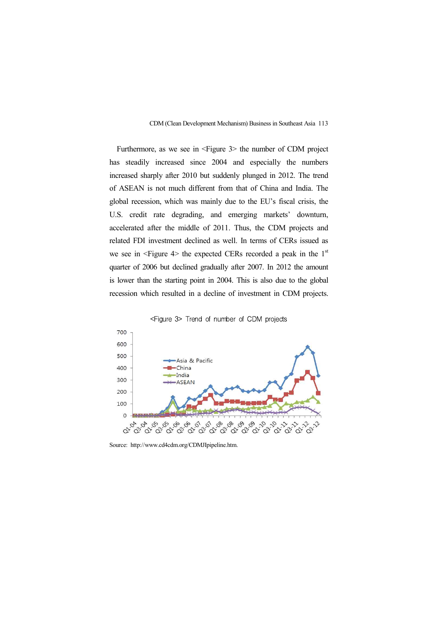Furthermore, as we see in  $\leq$  Figure 3> the number of CDM project has steadily increased since 2004 and especially the numbers increased sharply after 2010 but suddenly plunged in 2012. The trend of ASEAN is not much different from that of China and India. The global recession, which was mainly due to the EU's fiscal crisis, the U.S. credit rate degrading, and emerging markets' downturn, accelerated after the middle of 2011. Thus, the CDM projects and related FDI investment declined as well. In terms of CERs issued as we see in  $\leq$  Figure 4> the expected CERs recorded a peak in the 1<sup>st</sup> quarter of 2006 but declined gradually after 2007. In 2012 the amount is lower than the starting point in 2004. This is also due to the global recession which resulted in a decline of investment in CDM projects.



<Figure 3> Trend of number of CDM projects

Source: http://www.cd4cdm.org/CDMJIpipeline.htm.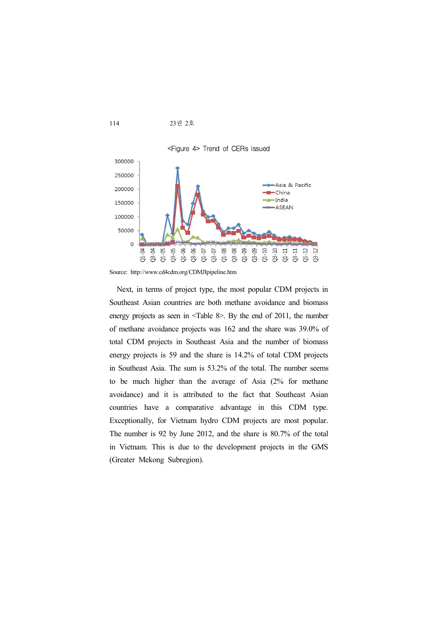

Source: http://www.cd4cdm.org/CDMJIpipeline.htm

Next, in terms of project type, the most popular CDM projects in Southeast Asian countries are both methane avoidance and biomass energy projects as seen in <Table 8>. By the end of 2011, the number of methane avoidance projects was 162 and the share was 39.0% of total CDM projects in Southeast Asia and the number of biomass energy projects is 59 and the share is 14.2% of total CDM projects in Southeast Asia. The sum is 53.2% of the total. The number seems to be much higher than the average of Asia (2% for methane avoidance) and it is attributed to the fact that Southeast Asian countries have a comparative advantage in this CDM type. Exceptionally, for Vietnam hydro CDM projects are most popular. The number is 92 by June 2012, and the share is 80.7% of the total in Vietnam. This is due to the development projects in the GMS (Greater Mekong Subregion).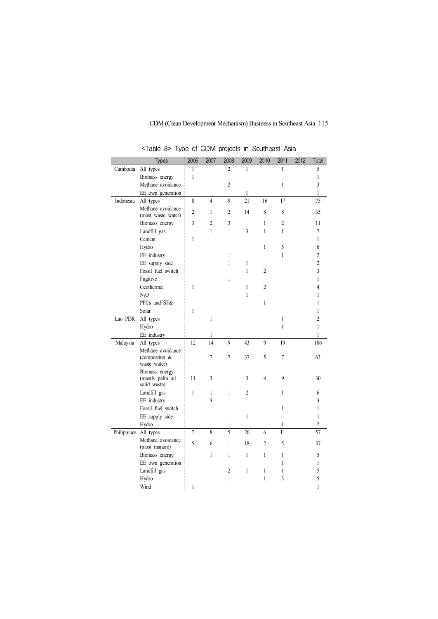|           | Types                                                 | 2006           | 2007           | 2008           | 2009           | 2010           | 2011           | 2012 | Total                   |
|-----------|-------------------------------------------------------|----------------|----------------|----------------|----------------|----------------|----------------|------|-------------------------|
| Cambodia  | All types                                             | $\mathbf{1}$   |                | $\overline{2}$ | 1              |                | 1              |      | 5                       |
|           | Biomass energy                                        | $\mathbf{1}$   |                |                |                |                |                |      | $\mathbf{1}$            |
|           | Methane avoidance                                     |                |                | $\overline{c}$ |                |                | 1              |      | 3                       |
|           | EE own generation                                     |                |                |                | $\mathbf{1}$   |                |                |      | $\mathbf{1}$            |
| Indonesia | All types                                             | 8              | $\overline{4}$ | 9              | 21             | 16             | 17             |      | 75                      |
|           | Methane avoidance<br>(most waste water)               | $\overline{c}$ | $\mathbf{1}$   | $\overline{c}$ | 14             | $\,8\,$        | $\,8\,$        |      | 35                      |
|           | Biomass energy                                        | 3              | $\overline{c}$ | 3              |                | 1              | $\overline{c}$ |      | 11                      |
|           | Landfill gas                                          |                | $\mathbf{1}$   | $\mathbf{1}$   | 3              | $\mathbf{1}$   | 1              |      | 7                       |
|           | Cement                                                | $\mathbf{1}$   |                |                |                |                |                |      | $\mathbf{1}$            |
|           | Hydro                                                 |                |                |                |                | 1              | 5              |      | 6                       |
|           | EE industry                                           |                |                | 1              |                |                | 1              |      | $\overline{c}$          |
|           | EE supply side                                        |                |                | 1              | 1              |                |                |      | $\overline{c}$          |
|           | Fossil fuel switch                                    |                |                |                | $\mathbf{1}$   | $\overline{c}$ |                |      | $\overline{\mathbf{3}}$ |
|           | Fugitive                                              |                |                | $\mathbf{1}$   |                |                |                |      | $\mathbf{1}$            |
|           | Geothermal                                            | $\mathbf{1}$   |                |                | $\mathbf{1}$   | $\overline{2}$ |                |      | $\overline{4}$          |
|           | $N_2O$                                                |                |                |                | 1              |                |                |      | 1                       |
|           | PFCs and SF&                                          |                |                |                |                | $\mathbf{1}$   |                |      | 1                       |
|           | Solar                                                 | $\mathbf{1}$   |                |                |                |                |                |      | $\mathbf{1}$            |
| Lao PDR   | All types                                             |                | $\mathbf{1}$   |                |                |                | 1              |      | $\overline{c}$          |
|           | Hydro                                                 |                |                |                |                |                | $\mathbf{1}$   |      | $\mathbf{1}$            |
|           | EE industry                                           |                | 1              |                |                |                |                |      | 1                       |
| Malaysia  | All types                                             | 12             | 14             | 9              | 43             | 9              | 19             |      | 106                     |
|           | Methane avoidance<br>(composting $\&$<br>waste water) |                | 7              | 7              | 37             | 5              | $\overline{7}$ |      | 63                      |
|           | Biomass energy<br>(mostly palm oil<br>solid waste)    | 11             | 3              |                | 3              | 4              | 9              |      | 30                      |
|           | Landfill gas                                          | $\mathbf{1}$   | $\mathbf{1}$   | $\mathbf{1}$   | $\overline{c}$ |                | $\mathbf{1}$   |      | 6                       |
|           | EE industry                                           |                | 3              |                |                |                |                |      | 3                       |
|           | Fossil fuel switch                                    |                |                |                |                |                | $\mathbf{1}$   |      | $\mathbf{1}$            |
|           | EE supply side                                        |                |                |                | 1              |                |                |      | 1                       |
|           | Hydro                                                 |                |                | 1              |                |                | 1              |      | $\overline{c}$          |
|           | Philippines All types                                 | $\overline{7}$ | 8              | $\overline{5}$ | 20             | 6              | 11             |      | 57                      |
|           | Methane avoidance<br>(most manure)                    | 5              | 6              | $\mathbf{1}$   | 18             | $\overline{c}$ | 5              |      | 37                      |
|           | Biomass energy                                        |                | $\mathbf{1}$   | $\mathbf{1}$   | $\mathbf{1}$   | $\mathbf{1}$   | 1              |      | 5                       |
|           | EE own generation                                     |                |                |                |                |                | 1              |      | $\mathbf{1}$            |
|           | Landfill gas                                          |                |                | $\overline{c}$ | $\mathbf{1}$   | $\mathbf{1}$   | $\mathbf{1}$   |      | 5                       |
|           | Hydro                                                 |                |                | $\mathbf{1}$   |                | 1              | 3              |      | 5                       |
|           | Wind                                                  | $\mathbf{1}$   |                |                |                |                |                |      | 1                       |

<Table 8> Type of CDM projects in Southeast Asia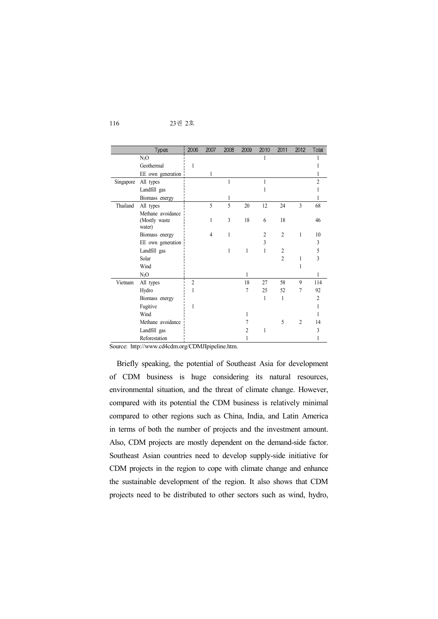| 23권 2호<br>116 |
|---------------|
|               |

|           | <b>Types</b>                                 | 2006           | 2007 | 2008 | 2009 | 2010           | 2011           | 2012           | Total          |
|-----------|----------------------------------------------|----------------|------|------|------|----------------|----------------|----------------|----------------|
|           | $N_2O$                                       |                |      |      |      |                |                |                |                |
|           | Geothermal                                   | 1              |      |      |      |                |                |                |                |
|           | EE own generation                            |                | 1    |      |      |                |                |                |                |
| Singapore | All types                                    |                |      |      |      | 1              |                |                | $\overline{2}$ |
|           | Landfill gas                                 |                |      |      |      |                |                |                |                |
|           | Biomass energy                               |                |      |      |      |                |                |                |                |
| Thailand  | All types                                    |                | 5    | 5    | 20   | 12             | 24             | 3              | 68             |
|           | Methane avoidance<br>(Mostly waste<br>water) |                | 1    | 3    | 18   | 6              | 18             |                | 46             |
|           | Biomass energy                               |                | 4    | 1    |      | $\overline{2}$ | $\overline{c}$ | 1              | 10             |
|           | EE own generation                            |                |      |      |      | 3              |                |                | 3              |
|           | Landfill gas                                 |                |      | 1    | 1    | 1              | 2              |                | 5              |
|           | Solar                                        |                |      |      |      |                | $\overline{c}$ |                | 3              |
|           | Wind                                         |                |      |      |      |                |                |                |                |
|           | $N_2O$                                       |                |      |      | 1    |                |                |                |                |
| Vietnam   | All types                                    | $\overline{2}$ |      |      | 18   | 27             | 58             | 9              | 114            |
|           | Hydro                                        | 1              |      |      | 7    | 25             | 52             | 7              | 92             |
|           | Biomass energy                               |                |      |      |      | 1              | 1              |                | $\overline{2}$ |
|           | Fugitive                                     | 1              |      |      |      |                |                |                |                |
|           | Wind                                         |                |      |      |      |                |                |                |                |
|           | Methane avoidance                            |                |      |      |      |                | 5              | $\overline{2}$ | 14             |
|           | Landfill gas                                 |                |      |      |      | 1              |                |                | 3              |
|           | Reforestation                                |                |      |      |      |                |                |                |                |

Source: http://www.cd4cdm.org/CDMJIpipeline.htm.

Briefly speaking, the potential of Southeast Asia for development of CDM business is huge considering its natural resources, environmental situation, and the threat of climate change. However, compared with its potential the CDM business is relatively minimal compared to other regions such as China, India, and Latin America in terms of both the number of projects and the investment amount. Also, CDM projects are mostly dependent on the demand-side factor. Southeast Asian countries need to develop supply-side initiative for CDM projects in the region to cope with climate change and enhance the sustainable development of the region. It also shows that CDM projects need to be distributed to other sectors such as wind, hydro,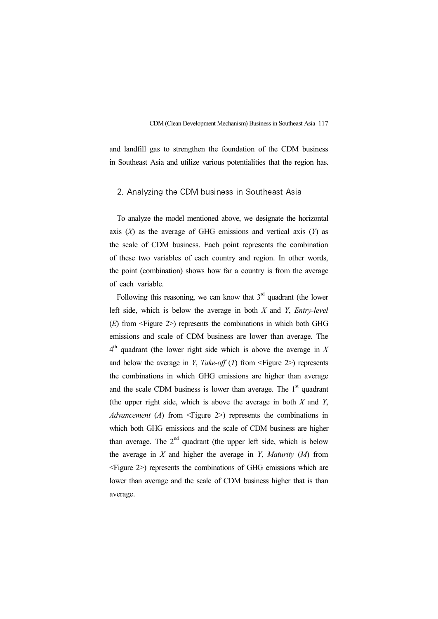and landfill gas to strengthen the foundation of the CDM business in Southeast Asia and utilize various potentialities that the region has.

#### 2. Analyzing the CDM business in Southeast Asia

To analyze the model mentioned above, we designate the horizontal axis (*X*) as the average of GHG emissions and vertical axis (*Y*) as the scale of CDM business. Each point represents the combination of these two variables of each country and region. In other words, the point (combination) shows how far a country is from the average of each variable.

Following this reasoning, we can know that  $3<sup>rd</sup>$  quadrant (the lower left side, which is below the average in both *X* and *Y*, *Entry-level* (*E*) from <Figure 2>) represents the combinations in which both GHG emissions and scale of CDM business are lower than average. The 4 th quadrant (the lower right side which is above the average in *X* and below the average in *Y*, *Take-off* (*T*) from  $\leq$  Figure 2 $>$ ) represents the combinations in which GHG emissions are higher than average and the scale CDM business is lower than average. The  $1<sup>st</sup>$  quadrant (the upper right side, which is above the average in both *X* and *Y*, *Advancement* (*A*) from <Figure 2>) represents the combinations in which both GHG emissions and the scale of CDM business are higher than average. The  $2<sup>nd</sup>$  quadrant (the upper left side, which is below the average in *X* and higher the average in *Y*, *Maturity* (*M*) from <Figure 2>) represents the combinations of GHG emissions which are lower than average and the scale of CDM business higher that is than average.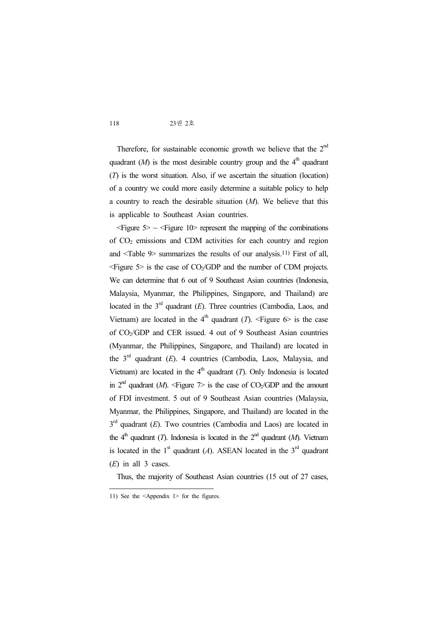Therefore, for sustainable economic growth we believe that the  $2<sup>nd</sup>$ quadrant  $(M)$  is the most desirable country group and the  $4<sup>th</sup>$  quadrant (*T*) is the worst situation. Also, if we ascertain the situation (location) of a country we could more easily determine a suitable policy to help a country to reach the desirable situation (*M*). We believe that this is applicable to Southeast Asian countries.

 $\leq$ Figure  $5$   $\sim$   $\leq$ Figure  $10$  represent the mapping of the combinations of CO<sup>2</sup> emissions and CDM activities for each country and region and <Table 9> summarizes the results of our analysis.11) First of all,  $\leq$  Figure 5> is the case of CO<sub>2</sub>/GDP and the number of CDM projects. We can determine that 6 out of 9 Southeast Asian countries (Indonesia, Malaysia, Myanmar, the Philippines, Singapore, and Thailand) are located in the  $3<sup>rd</sup>$  quadrant (*E*). Three countries (Cambodia, Laos, and Vietnam) are located in the  $4<sup>th</sup>$  quadrant (*T*). <Figure 6> is the case of CO2/GDP and CER issued. 4 out of 9 Southeast Asian countries (Myanmar, the Philippines, Singapore, and Thailand) are located in the 3 rd quadrant (*E*). 4 countries (Cambodia, Laos, Malaysia, and Vietnam) are located in the  $4<sup>th</sup>$  quadrant (*T*). Only Indonesia is located in  $2<sup>nd</sup>$  quadrant (*M*).  $\leq$  Figure  $\geq$  is the case of CO<sub>2</sub>/GDP and the amount of FDI investment. 5 out of 9 Southeast Asian countries (Malaysia, Myanmar, the Philippines, Singapore, and Thailand) are located in the  $3<sup>rd</sup>$  quadrant (*E*). Two countries (Cambodia and Laos) are located in the  $4<sup>th</sup>$  quadrant (*T*). Indonesia is located in the  $2<sup>nd</sup>$  quadrant (*M*). Vietnam is located in the  $1<sup>st</sup>$  quadrant (*A*). ASEAN located in the  $3<sup>rd</sup>$  quadrant (*E*) in all 3 cases.

Thus, the majority of Southeast Asian countries (15 out of 27 cases,

<sup>11)</sup> See the <Appendix 1> for the figures.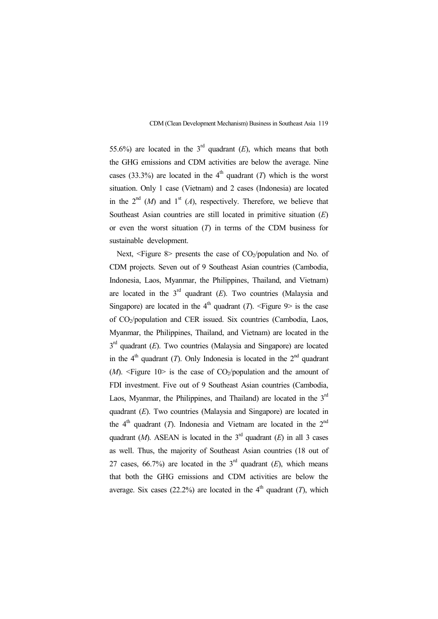55.6%) are located in the  $3<sup>rd</sup>$  quadrant (*E*), which means that both the GHG emissions and CDM activities are below the average. Nine cases (33.3%) are located in the  $4<sup>th</sup>$  quadrant (*T*) which is the worst situation. Only 1 case (Vietnam) and 2 cases (Indonesia) are located in the  $2^{nd}$  (*M*) and  $1^{st}$  (*A*), respectively. Therefore, we believe that Southeast Asian countries are still located in primitive situation (*E*) or even the worst situation (*T*) in terms of the CDM business for sustainable development.

Next,  $\leq$  Figure 8> presents the case of CO<sub>2</sub>/population and No. of CDM projects. Seven out of 9 Southeast Asian countries (Cambodia, Indonesia, Laos, Myanmar, the Philippines, Thailand, and Vietnam) are located in the  $3<sup>rd</sup>$  quadrant  $(E)$ . Two countries (Malaysia and Singapore) are located in the  $4<sup>th</sup>$  quadrant (*T*). <Figure 9> is the case of CO2/population and CER issued. Six countries (Cambodia, Laos, Myanmar, the Philippines, Thailand, and Vietnam) are located in the 3<sup>rd</sup> quadrant (*E*). Two countries (Malaysia and Singapore) are located in the  $4<sup>th</sup>$  quadrant (*T*). Only Indonesia is located in the  $2<sup>nd</sup>$  quadrant  $(M)$ .  $\leq$ Figure 10> is the case of CO<sub>2</sub>/population and the amount of FDI investment. Five out of 9 Southeast Asian countries (Cambodia, Laos, Myanmar, the Philippines, and Thailand) are located in the  $3<sup>rd</sup>$ quadrant (*E*). Two countries (Malaysia and Singapore) are located in the  $4<sup>th</sup>$  quadrant (*T*). Indonesia and Vietnam are located in the  $2<sup>nd</sup>$ quadrant  $(M)$ . ASEAN is located in the  $3<sup>rd</sup>$  quadrant  $(E)$  in all 3 cases as well. Thus, the majority of Southeast Asian countries (18 out of 27 cases, 66.7%) are located in the  $3<sup>rd</sup>$  quadrant (*E*), which means that both the GHG emissions and CDM activities are below the average. Six cases (22.2%) are located in the  $4<sup>th</sup>$  quadrant (*T*), which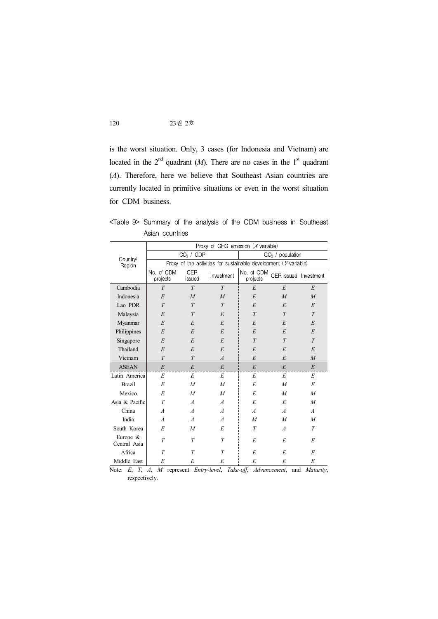is the worst situation. Only, 3 cases (for Indonesia and Vietnam) are located in the  $2^{nd}$  quadrant (*M*). There are no cases in the  $1^{st}$  quadrant (*A*). Therefore, here we believe that Southeast Asian countries are currently located in primitive situations or even in the worst situation for CDM business.

|                            | Asian countries                                                     |                       |                |                                      |                       |                  |  |  |  |
|----------------------------|---------------------------------------------------------------------|-----------------------|----------------|--------------------------------------|-----------------------|------------------|--|--|--|
|                            |                                                                     |                       |                | Proxy of GHG emission $(X$ variable) |                       |                  |  |  |  |
| Country/                   |                                                                     | CO <sub>2</sub> / GDP |                |                                      | $CO2$ / population    |                  |  |  |  |
| Region                     | Proxy of the activities for sustainable development ( $Y$ variable) |                       |                |                                      |                       |                  |  |  |  |
|                            | No. of CDM<br>projects                                              | <b>CER</b><br>issued  | Investment     | No. of CDM<br>projects               | CER issued Investment |                  |  |  |  |
| Cambodia                   | T                                                                   | T                     | T              | E                                    | E                     | E                |  |  |  |
| Indonesia                  | E                                                                   | $\overline{M}$        | $\overline{M}$ | E                                    | $\overline{M}$        | $\overline{M}$   |  |  |  |
| Lao PDR                    | T                                                                   | T                     | T              | E                                    | E                     | E                |  |  |  |
| Malaysia                   | E                                                                   | T                     | E              | T                                    | T                     | T                |  |  |  |
| Myanmar                    | E                                                                   | E                     | E              | E                                    | E                     | E                |  |  |  |
| Philippines                | E                                                                   | E                     | E              | E                                    | E                     | E                |  |  |  |
| Singapore                  | E                                                                   | E                     | E              | T                                    | T                     | T                |  |  |  |
| Thailand                   | E                                                                   | E                     | E              | E                                    | E                     | E                |  |  |  |
| Vietnam                    | $\overline{T}$                                                      | $\overline{T}$        | $\overline{A}$ | E                                    | E                     | $\overline{M}$   |  |  |  |
| <b>ASEAN</b>               | E                                                                   | E                     | E              | E                                    | E                     | E                |  |  |  |
| Latin America              | E                                                                   | E                     | E              | E                                    | E                     | E                |  |  |  |
| <b>Brazil</b>              | E                                                                   | $\overline{M}$        | $\overline{M}$ | E                                    | $\overline{M}$        | E                |  |  |  |
| Mexico                     | E                                                                   | $\overline{M}$        | $\overline{M}$ | E                                    | M                     | M                |  |  |  |
| Asia & Pacific             | T                                                                   | $\overline{A}$        | $\overline{A}$ | E                                    | E                     | $\boldsymbol{M}$ |  |  |  |
| China                      | $\overline{A}$                                                      | $\overline{A}$        | $\overline{A}$ | $\overline{A}$                       | $\overline{A}$        | $\overline{A}$   |  |  |  |
| India                      | $\overline{A}$                                                      | $\overline{A}$        | $\overline{A}$ | $\overline{M}$                       | $\overline{M}$        | $\overline{M}$   |  |  |  |
| South Korea                | E                                                                   | $\overline{M}$        | E              | T                                    | $\overline{A}$        | T                |  |  |  |
| Europe $&$<br>Central Asia | T                                                                   | T                     | T              | E                                    | E                     | E                |  |  |  |
| Africa                     | T                                                                   | T                     | T              | E                                    | E                     | E                |  |  |  |
| Middle East                | E                                                                   | E                     | E              | E                                    | E                     | E                |  |  |  |

<Table 9> Summary of the analysis of the CDM business in Southeast Asian countries

Note: *E*, *T*, *A*, *<sup>M</sup>* represent *Entry-level*, *Take-off*, *Advancement*, and *Maturity*, respectively.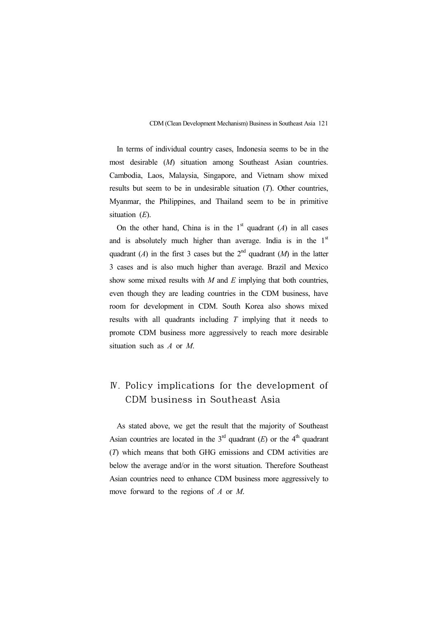In terms of individual country cases, Indonesia seems to be in the most desirable (*M*) situation among Southeast Asian countries. Cambodia, Laos, Malaysia, Singapore, and Vietnam show mixed results but seem to be in undesirable situation (*T*). Other countries, Myanmar, the Philippines, and Thailand seem to be in primitive situation (*E*).

On the other hand, China is in the  $1<sup>st</sup>$  quadrant (*A*) in all cases and is absolutely much higher than average. India is in the  $1<sup>st</sup>$ quadrant (*A*) in the first 3 cases but the  $2^{nd}$  quadrant (*M*) in the latter 3 cases and is also much higher than average. Brazil and Mexico show some mixed results with *M* and *E* implying that both countries, even though they are leading countries in the CDM business, have room for development in CDM. South Korea also shows mixed results with all quadrants including *T* implying that it needs to promote CDM business more aggressively to reach more desirable situation such as *A* or *M*.

# Ⅳ. Policy implications for the development of CDM business in Southeast Asia

As stated above, we get the result that the majority of Southeast Asian countries are located in the  $3<sup>rd</sup>$  quadrant (*E*) or the  $4<sup>th</sup>$  quadrant (*T*) which means that both GHG emissions and CDM activities are below the average and/or in the worst situation. Therefore Southeast Asian countries need to enhance CDM business more aggressively to move forward to the regions of *A* or *M*.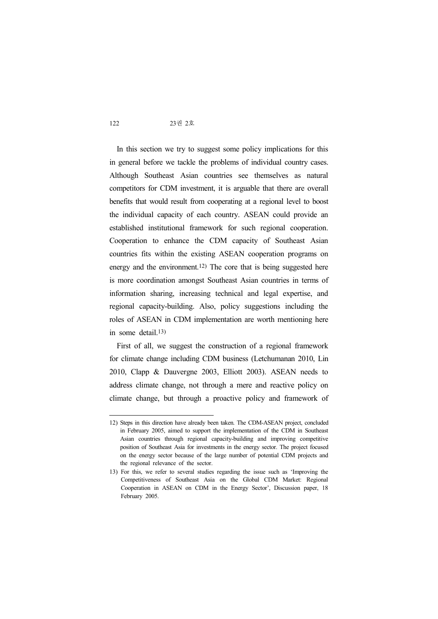In this section we try to suggest some policy implications for this in general before we tackle the problems of individual country cases. Although Southeast Asian countries see themselves as natural competitors for CDM investment, it is arguable that there are overall benefits that would result from cooperating at a regional level to boost the individual capacity of each country. ASEAN could provide an established institutional framework for such regional cooperation. Cooperation to enhance the CDM capacity of Southeast Asian countries fits within the existing ASEAN cooperation programs on energy and the environment.12) The core that is being suggested here is more coordination amongst Southeast Asian countries in terms of information sharing, increasing technical and legal expertise, and regional capacity-building. Also, policy suggestions including the roles of ASEAN in CDM implementation are worth mentioning here in some detail.13)

First of all, we suggest the construction of a regional framework for climate change including CDM business (Letchumanan 2010, Lin 2010, Clapp & Dauvergne 2003, Elliott 2003). ASEAN needs to address climate change, not through a mere and reactive policy on climate change, but through a proactive policy and framework of

<sup>12)</sup> Steps in this direction have already been taken. The CDM-ASEAN project, concluded in February 2005, aimed to support the implementation of the CDM in Southeast Asian countries through regional capacity-building and improving competitive position of Southeast Asia for investments in the energy sector. The project focused on the energy sector because of the large number of potential CDM projects and the regional relevance of the sector.

<sup>13)</sup> For this, we refer to several studies regarding the issue such as 'Improving the Competitiveness of Southeast Asia on the Global CDM Market: Regional Cooperation in ASEAN on CDM in the Energy Sector', Discussion paper, 18 February 2005.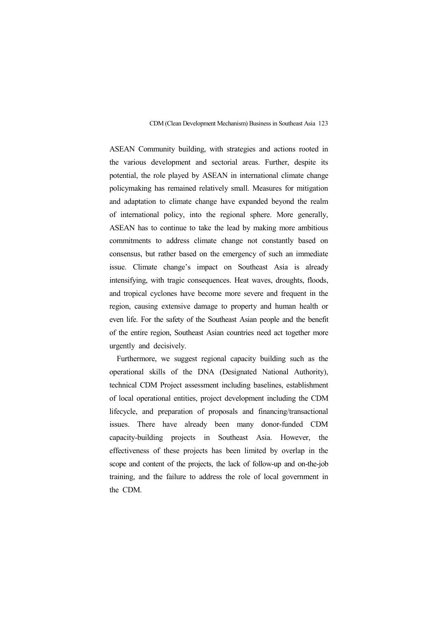ASEAN Community building, with strategies and actions rooted in the various development and sectorial areas. Further, despite its potential, the role played by ASEAN in international climate change policymaking has remained relatively small. Measures for mitigation and adaptation to climate change have expanded beyond the realm of international policy, into the regional sphere. More generally, ASEAN has to continue to take the lead by making more ambitious commitments to address climate change not constantly based on consensus, but rather based on the emergency of such an immediate issue. Climate change's impact on Southeast Asia is already intensifying, with tragic consequences. Heat waves, droughts, floods, and tropical cyclones have become more severe and frequent in the region, causing extensive damage to property and human health or even life. For the safety of the Southeast Asian people and the benefit of the entire region, Southeast Asian countries need act together more urgently and decisively.

Furthermore, we suggest regional capacity building such as the operational skills of the DNA (Designated National Authority), technical CDM Project assessment including baselines, establishment of local operational entities, project development including the CDM lifecycle, and preparation of proposals and financing/transactional issues. There have already been many donor-funded CDM capacity-building projects in Southeast Asia. However, the effectiveness of these projects has been limited by overlap in the scope and content of the projects, the lack of follow-up and on-the-job training, and the failure to address the role of local government in the CDM.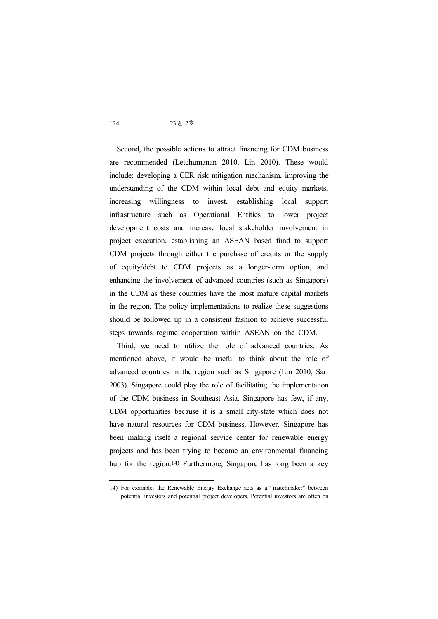Second, the possible actions to attract financing for CDM business are recommended (Letchumanan 2010, Lin 2010). These would include: developing a CER risk mitigation mechanism, improving the understanding of the CDM within local debt and equity markets, increasing willingness to invest, establishing local support infrastructure such as Operational Entities to lower project development costs and increase local stakeholder involvement in project execution, establishing an ASEAN based fund to support CDM projects through either the purchase of credits or the supply of equity/debt to CDM projects as a longer-term option, and enhancing the involvement of advanced countries (such as Singapore) in the CDM as these countries have the most mature capital markets in the region. The policy implementations to realize these suggestions should be followed up in a consistent fashion to achieve successful steps towards regime cooperation within ASEAN on the CDM.

Third, we need to utilize the role of advanced countries. As mentioned above, it would be useful to think about the role of advanced countries in the region such as Singapore (Lin 2010, Sari 2003). Singapore could play the role of facilitating the implementation of the CDM business in Southeast Asia. Singapore has few, if any, CDM opportunities because it is a small city-state which does not have natural resources for CDM business. However, Singapore has been making itself a regional service center for renewable energy projects and has been trying to become an environmental financing hub for the region.<sup>14)</sup> Furthermore, Singapore has long been a key

<sup>14)</sup> For example, the Renewable Energy Exchange acts as a "matchmaker" between potential investors and potential project developers. Potential investors are often on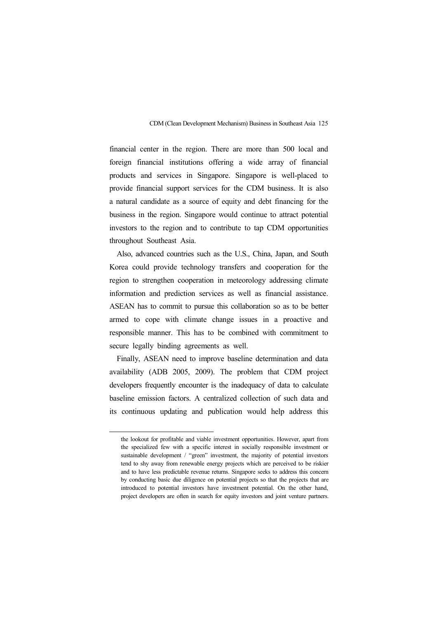financial center in the region. There are more than 500 local and foreign financial institutions offering a wide array of financial products and services in Singapore. Singapore is well-placed to provide financial support services for the CDM business. It is also a natural candidate as a source of equity and debt financing for the business in the region. Singapore would continue to attract potential investors to the region and to contribute to tap CDM opportunities throughout Southeast Asia.

Also, advanced countries such as the U.S., China, Japan, and South Korea could provide technology transfers and cooperation for the region to strengthen cooperation in meteorology addressing climate information and prediction services as well as financial assistance. ASEAN has to commit to pursue this collaboration so as to be better armed to cope with climate change issues in a proactive and responsible manner. This has to be combined with commitment to secure legally binding agreements as well.

Finally, ASEAN need to improve baseline determination and data availability (ADB 2005, 2009). The problem that CDM project developers frequently encounter is the inadequacy of data to calculate baseline emission factors. A centralized collection of such data and its continuous updating and publication would help address this

the lookout for profitable and viable investment opportunities. However, apart from the specialized few with a specific interest in socially responsible investment or sustainable development / "green" investment, the majority of potential investors tend to shy away from renewable energy projects which are perceived to be riskier and to have less predictable revenue returns. Singapore seeks to address this concern<br>by conducting basic due diligence on potential projects so that the projects that are<br>introduced to potential investors have investment project developers are often in search for equity investors and joint venture partners.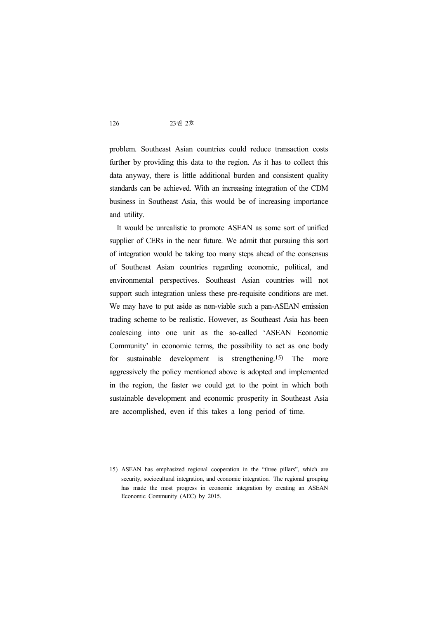problem. Southeast Asian countries could reduce transaction costs further by providing this data to the region. As it has to collect this data anyway, there is little additional burden and consistent quality standards can be achieved. With an increasing integration of the CDM business in Southeast Asia, this would be of increasing importance and utility.

It would be unrealistic to promote ASEAN as some sort of unified supplier of CERs in the near future. We admit that pursuing this sort of integration would be taking too many steps ahead of the consensus of Southeast Asian countries regarding economic, political, and environmental perspectives. Southeast Asian countries will not support such integration unless these pre-requisite conditions are met. We may have to put aside as non-viable such a pan-ASEAN emission trading scheme to be realistic. However, as Southeast Asia has been coalescing into one unit as the so-called 'ASEAN Economic Community' in economic terms, the possibility to act as one body for sustainable development is strengthening.15) The more aggressively the policy mentioned above is adopted and implemented in the region, the faster we could get to the point in which both sustainable development and economic prosperity in Southeast Asia are accomplished, even if this takes a long period of time.

<sup>15)</sup> ASEAN has emphasized regional cooperation in the "three pillars", which are security, sociocultural integration, and economic integration. The regional grouping has made the most progress in economic integration by creating an ASEAN Economic Community (AEC) by 2015.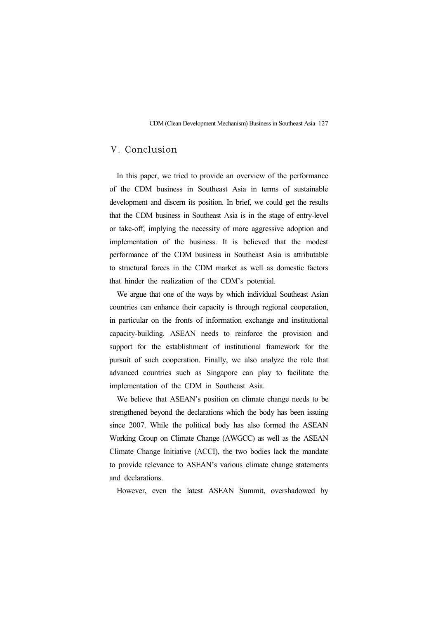### Ⅴ. Conclusion

In this paper, we tried to provide an overview of the performance of the CDM business in Southeast Asia in terms of sustainable development and discern its position. In brief, we could get the results that the CDM business in Southeast Asia is in the stage of entry-level or take-off, implying the necessity of more aggressive adoption and implementation of the business. It is believed that the modest performance of the CDM business in Southeast Asia is attributable to structural forces in the CDM market as well as domestic factors that hinder the realization of the CDM's potential.

We argue that one of the ways by which individual Southeast Asian countries can enhance their capacity is through regional cooperation, in particular on the fronts of information exchange and institutional capacity-building. ASEAN needs to reinforce the provision and support for the establishment of institutional framework for the pursuit of such cooperation. Finally, we also analyze the role that advanced countries such as Singapore can play to facilitate the implementation of the CDM in Southeast Asia.

We believe that ASEAN's position on climate change needs to be strengthened beyond the declarations which the body has been issuing since 2007. While the political body has also formed the ASEAN Working Group on Climate Change (AWGCC) as well as the ASEAN Climate Change Initiative (ACCI), the two bodies lack the mandate to provide relevance to ASEAN's various climate change statements and declarations.

However, even the latest ASEAN Summit, overshadowed by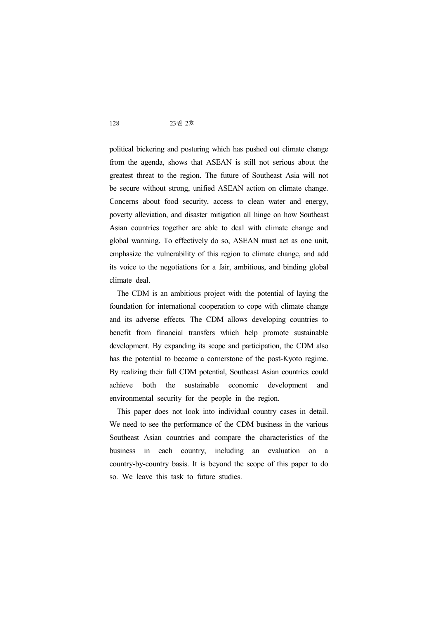political bickering and posturing which has pushed out climate change from the agenda, shows that ASEAN is still not serious about the greatest threat to the region. The future of Southeast Asia will not be secure without strong, unified ASEAN action on climate change. Concerns about food security, access to clean water and energy, poverty alleviation, and disaster mitigation all hinge on how Southeast Asian countries together are able to deal with climate change and global warming. To effectively do so, ASEAN must act as one unit, emphasize the vulnerability of this region to climate change, and add its voice to the negotiations for a fair, ambitious, and binding global climate deal.

The CDM is an ambitious project with the potential of laying the foundation for international cooperation to cope with climate change and its adverse effects. The CDM allows developing countries to benefit from financial transfers which help promote sustainable development. By expanding its scope and participation, the CDM also has the potential to become a cornerstone of the post-Kyoto regime. By realizing their full CDM potential, Southeast Asian countries could achieve both the sustainable economic development and environmental security for the people in the region.

This paper does not look into individual country cases in detail. We need to see the performance of the CDM business in the various Southeast Asian countries and compare the characteristics of the business in each country, including an evaluation on a country-by-country basis. It is beyond the scope of this paper to do so. We leave this task to future studies.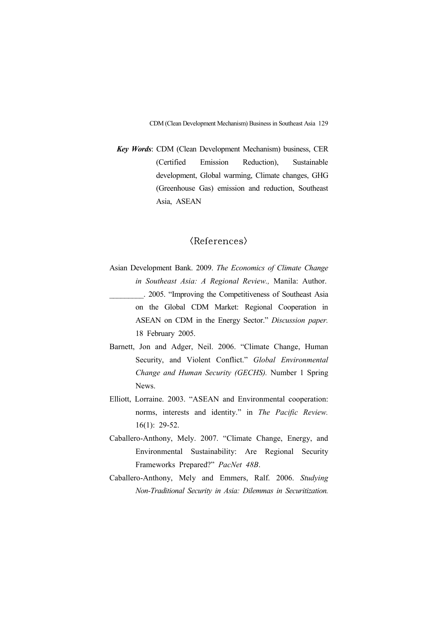*Key Words*: CDM (Clean Development Mechanism) business, CER (Certified Emission Reduction), Sustainable development, Global warming, Climate changes, GHG (Greenhouse Gas) emission and reduction, Southeast Asia, ASEAN

### $\langle References \rangle$

- Asian Development Bank. 2009. *The Economics of Climate Change in Southeast Asia: A Regional Review., Manila: Author.*<br>  $\therefore$  2005. "Improving the Competitiveness of Southeast Asia on the Global CDM Market: Regional Cooperation in ASEAN on CDM in the Energy Sector." *Discussion paper.* 18 February 2005.
- Barnett, Jon and Adger, Neil. 2006. "Climate Change, Human Security, and Violent Conflict." *Global Environmental Change and Human Security (GECHS).* Number 1 Spring News.
- Elliott, Lorraine. 2003. "ASEAN and Environmental cooperation: norms, interests and identity." in *The Pacific Review.* 16(1): 29-52.
- Caballero-Anthony, Mely. 2007. "Climate Change, Energy, and Environmental Sustainability: Are Regional Security Frameworks Prepared?" *PacNet 48B*. Caballero-Anthony, Mely and Emmers, Ralf. 2006. *Studying*
- *Non-Traditional Security in Asia: Dilemmas in Securitization.*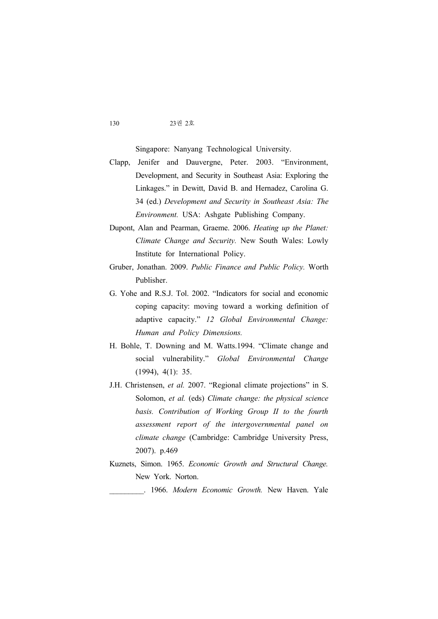Singapore: Nanyang Technological University.

- Clapp, Jenifer and Dauvergne, Peter. 2003. "Environment, Development, and Security in Southeast Asia: Exploring the Linkages." in Dewitt, David B. and Hernadez, Carolina G. 34 (ed.) *Development and Security in Southeast Asia: The Environment.* USA: Ashgate Publishing Company.
- Dupont, Alan and Pearman, Graeme. 2006. *Heating up the Planet: Climate Change and Security.* New South Wales: Lowly Institute for International Policy.
- Gruber, Jonathan. 2009. *Public Finance and Public Policy.* Worth Publisher.
- G. Yohe and R.S.J. Tol. 2002. "Indicators for social and economic coping capacity: moving toward a working definition of adaptive capacity." *12 Global Environmental Change: Human and Policy Dimensions.*
- H. Bohle, T. Downing and M. Watts.1994. "Climate change and social vulnerability." *Global Environmental Change*  (1994), 4(1): 35.
- J.H. Christensen, *et al.* 2007. "Regional climate projections" in S. Solomon, *et al.* (eds) *Climate change: the physical science basis. Contribution of Working Group II to the fourth assessment report of the intergovernmental panel on climate change* (Cambridge: Cambridge University Press, 2007). p.469
- Kuznets, Simon. 1965. *Economic Growth and Structural Change.* New York. Norton.

\_\_\_\_\_\_\_\_\_. 1966. *Modern Economic Growth.* New Haven. Yale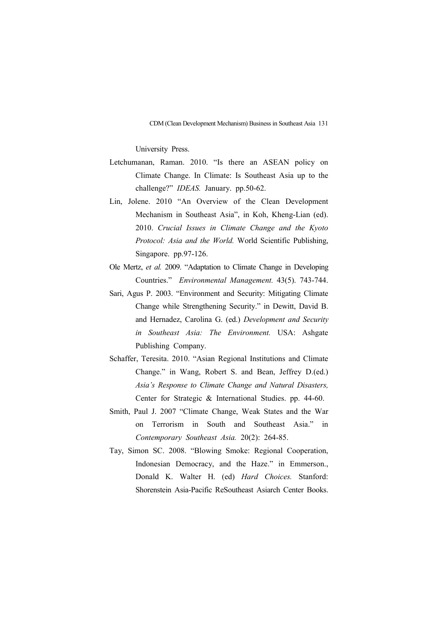University Press.

- Letchumanan, Raman. 2010. "Is there an ASEAN policy on Climate Change. In Climate: Is Southeast Asia up to the challenge?" *IDEAS.* January. pp.50-62.
- Lin, Jolene. 2010 "An Overview of the Clean Development Mechanism in Southeast Asia", in Koh, Kheng-Lian (ed). 2010. *Crucial Issues in Climate Change and the Kyoto Protocol: Asia and the World.* World Scientific Publishing, Singapore. pp.97-126.
- Ole Mertz, *et al.* 2009. "Adaptation to Climate Change in Developing Countries." *Environmental Management.* 43(5). 743-744.
- Sari, Agus P. 2003. "Environment and Security: Mitigating Climate Change while Strengthening Security." in Dewitt, David B. and Hernadez, Carolina G. (ed.) *Development and Security in Southeast Asia: The Environment.* USA: Ashgate Publishing Company.
- Schaffer, Teresita. 2010. "Asian Regional Institutions and Climate Change." in Wang, Robert S. and Bean, Jeffrey D.(ed.) *Asia's Response to Climate Change and Natural Disasters,*  Center for Strategic & International Studies. pp. 44-60.
- Smith, Paul J. 2007 "Climate Change, Weak States and the War on Terrorism in South and Southeast Asia." in *Contemporary Southeast Asia.* 20(2): 264-85.
- Tay, Simon SC. 2008. "Blowing Smoke: Regional Cooperation, Indonesian Democracy, and the Haze." in Emmerson., Donald K. Walter H. (ed) *Hard Choices.* Stanford: Shorenstein Asia-Pacific ReSoutheast Asiarch Center Books.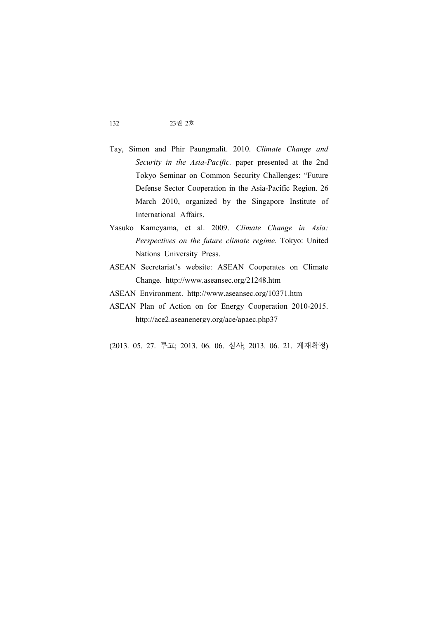- Tay, Simon and Phir Paungmalit. 2010. *Climate Change and Security in the Asia-Pacific.* paper presented at the 2nd Tokyo Seminar on Common Security Challenges: "Future Defense Sector Cooperation in the Asia-Pacific Region. 26 March 2010, organized by the Singapore Institute of International Affairs.
- Yasuko Kameyama, et al. 2009. *Climate Change in Asia: Perspectives on the future climate regime.* Tokyo: United Nations University Press.
- ASEAN Secretariat's website: ASEAN Cooperates on Climate Change. http://www.aseansec.org/21248.htm
- ASEAN Environment. http://www.aseansec.org/10371.htm
- ASEAN Plan of Action on for Energy Cooperation 2010-2015. http://ace2.aseanenergy.org/ace/apaec.php37
- (2013. 05. 27. 투고; 2013. 06. 06. 심사; 2013. 06. 21. 게재확정)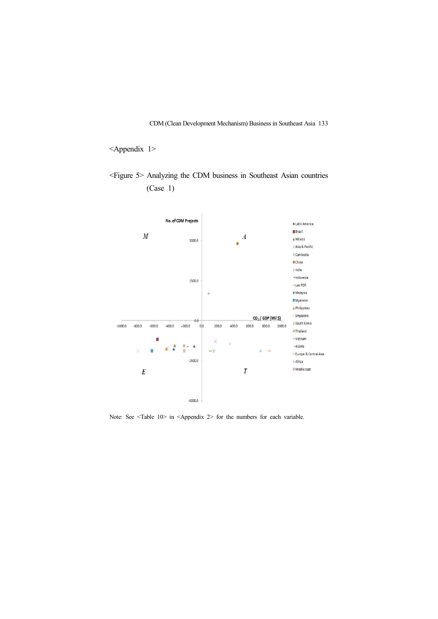### <Appendix 1>

<Figure 5> Analyzing the CDM business in Southeast Asian countries (Case 1)



Note: See <Table 10> in <Appendix 2> for the numbers for each variable.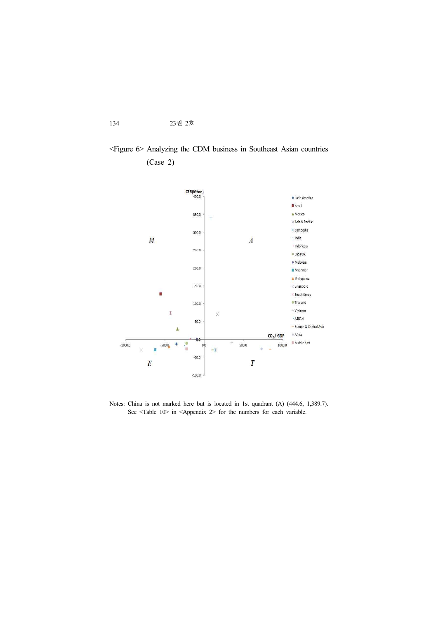# <Figure 6> Analyzing the CDM business in Southeast Asian countries (Case 2)



Notes: China is not marked here but is located in 1st quadrant (A) (444.6, 1,389.7). See <Table 10> in <Appendix 2> for the numbers for each variable.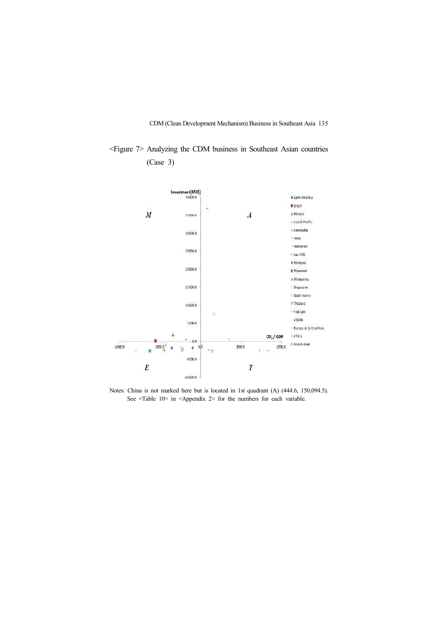<Figure 7> Analyzing the CDM business in Southeast Asian countries (Case 3)



Notes: China is not marked here but is located in 1st quadrant (A) (444.6, 150,094.5). See <Table 10> in <Appendix 2> for the numbers for each variable.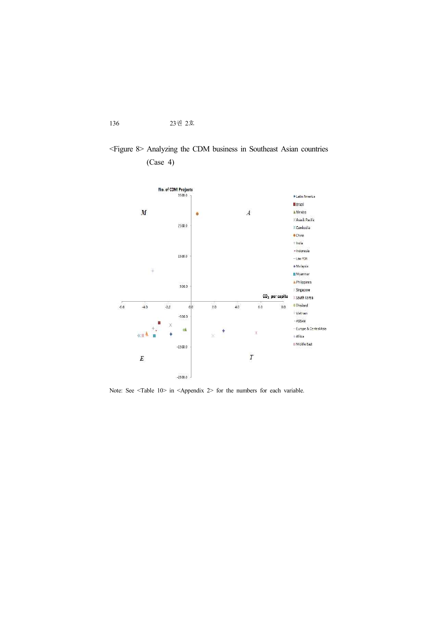# <Figure 8> Analyzing the CDM business in Southeast Asian countries (Case 4)



Note: See <Table  $10$  in <Appendix 2> for the numbers for each variable.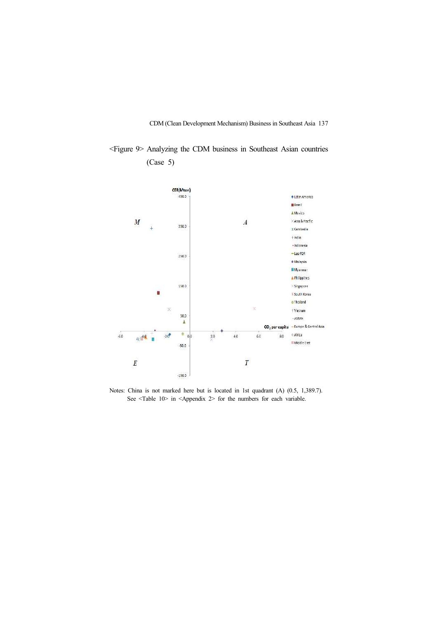<Figure 9> Analyzing the CDM business in Southeast Asian countries (Case 5)



Notes: China is not marked here but is located in 1st quadrant (A) (0.5, 1,389.7). See <Table 10> in <Appendix 2> for the numbers for each variable.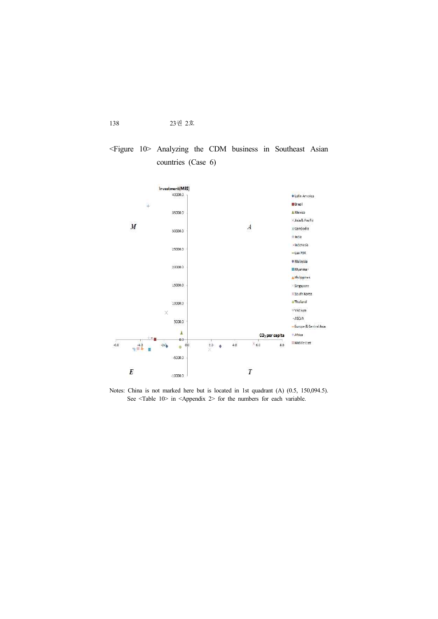### <Figure 10> Analyzing the CDM business in Southeast Asian countries (Case 6)



Notes: China is not marked here but is located in 1st quadrant (A) (0.5, 150,094.5). See <Table 10> in <Appendix 2> for the numbers for each variable.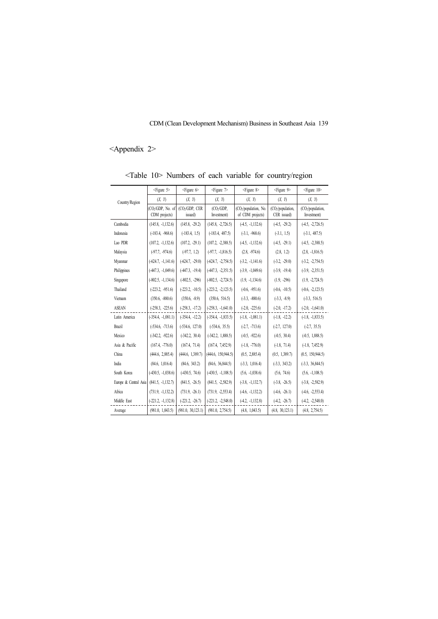# <Appendix 2>

| Country/Region        | $<$ Figure 5 $>$                               | $\epsilon$ Figure $6$                 | $\langle$ Figure $\rangle$   | $\leq$ Figure 8>                                      | <figure 9=""></figure>                       | <figure 10=""></figure>                      |
|-----------------------|------------------------------------------------|---------------------------------------|------------------------------|-------------------------------------------------------|----------------------------------------------|----------------------------------------------|
|                       | (X, Y)                                         | (X, Y)                                | (X, Y)                       | (X, Y)                                                | (X, Y)                                       | (X, Y)                                       |
|                       | (CO <sub>2</sub> /GDP, No. of<br>CDM projects) | (CO <sub>2</sub> /GDP, CER<br>issued) | $(CO2/GDP)$ .<br>Investment) | (CO <sub>2</sub> /population, No.<br>of CDM projects) | (CO <sub>2</sub> /population,<br>CER issued) | (CO <sub>2</sub> /population,<br>Investment) |
| Cambodia              | $(145.8, -1, 132.6)$                           | $(145.8, -29.2)$                      | $(145.8, -2, 726.5)$         | $(-4.5, -1, 132.6)$                                   | $(-4.5, -29.2)$                              | $(-4.5, -2, 726.5)$                          |
| Indonesia             | $(-183.4, -968.6)$                             | $(-183.4, 1.5)$                       | $(-183.4, 487.5)$            | $(-3.1, -968.6)$                                      | $(-3.1, 1.5)$                                | $(-3.1, 487.5)$                              |
| Lao PDR               | $(107.2, -1.132.6)$                            | $(107.2, -29.1)$                      | $(107.2, -2.388.5)$          | $(-4.5, -1, 132.6)$                                   | $(-4.5, -29.1)$                              | $(-4.5, -2, 388.5)$                          |
| Malaysia              | $(-97.7, -974.6)$                              | $(-97.7, 1.2)$                        | $(-97.7, -1.816.5)$          | $(2.8, -974.6)$                                       | (2.8, 1.2)                                   | $(2.8, -1, 816.5)$                           |
| Myanmar               | $(-624.7, -1, 141.6)$                          | $(-624.7, -29.0)$                     | $(-624.7, -2,754.5)$         | $(-3.2, -1, 141.6)$                                   | $(-3.2, -29.0)$                              | $(-3.2, -2.754.5)$                           |
| Philippines           | $(-447.3, -1,049.6)$                           | $(-447.3, -19.4)$                     | $(-447.3, -2.351.5)$         | $(-3.9, -1.049.6)$                                    | $(-3.9, -19.4)$                              | $(-3.9, -2, 351.5)$                          |
| Singapore             | $(-802.5, -1, 134.6)$                          | $(-802.5, -296)$                      | $(-802.5, -2, 724.5)$        | $(1.9, -1, 134.6)$                                    | $(1.9, -296)$                                | $(1.9, -2, 724.5)$                           |
| Thailand              | $(-223.2, -951.6)$                             | $(-223.2, -10.5)$                     | $(-223.2, -2, 123.5)$        | $(-0.6, -951.6)$                                      | $(-0.6, -10.5)$                              | $(-0.6, -2, 123.5)$                          |
| Vietnam               | $(350.6, -880.6)$                              | $(350.6, -8.9)$                       | (350.6, 516.5)               | $(-3.3, -880.6)$                                      | $(-3.3, -8.9)$                               | $(-3.3, 516.5)$                              |
| <b>ASEAN</b>          | $(-258.3, -225.6)$                             | $(-258.3, -17.2)$                     | $(-258.3, -1, 641.0)$        | $(-2.0, -225.6)$                                      | $(-2.0, -17.2)$                              | $(-2.0, -1, 641.0)$                          |
| Latin America         | $(-354.4, -1, 081.1)$                          | $(-354.4, -12.2)$                     | $(-354.4, -1, 833.5)$        | $(-1.8, -1.081.1)$                                    | $(-1.8, -12.2)$                              | $(-1.8, -1, 833.5)$                          |
| <b>Brazil</b>         | $(-534.6, -713.6)$                             | $(-534.6, 127.0)$                     | $(-534.6, 35.5)$             | $(-2.7, -713.6)$                                      | $(-2.7, 127.0)$                              | $(-2.7, 35.5)$                               |
| Mexico                | $(-342.2, -922.6)$                             | $(-342.2, 30.4)$                      | $(-342.2, 1,888.5)$          | $(-0.5, -922.6)$                                      | $(-0.5, 30.4)$                               | $(-0.5, 1,888.5)$                            |
| Asia & Pacific        | $(167.4, -776.0)$                              | (167.4, 71.4)                         | (167.4, 7,452.9)             | $(-1.8, -776.0)$                                      | $(-1.8, 71.4)$                               | $(-1.8, 7,452.9)$                            |
| China                 | (444.6, 2,885.4)                               | (444.6, 1,389.7)                      | (444.6, 150, 944.5)          | (0.5, 2,885.4)                                        | (0.5, 1,389.7)                               | (0.5, 150, 944.5)                            |
| India                 | (84.6, 1,016.4)                                | (84.6, 343.2)                         | (84.6, 36.844.5)             | $(-3.3, 1,016.4)$                                     | $(-3.3, 343.2)$                              | $(-3.3, 36, 844.5)$                          |
| South Korea           | $(-430.5, -1, 038.6)$                          | $(-430.5, 74.6)$                      | $(-430.5, -1, 108.5)$        | $(5.6, -1, 038.6)$                                    | (5.6, 74.6)                                  | $(5.6, -1, 108.5)$                           |
| Europe & Central Asia | $(841.5, -1, 132.7)$                           | $(841.5, -26.5)$                      | $(841.5, -2, 582.9)$         | $(-3.8, -1, 132.7)$                                   | $(-3.8, -26.5)$                              | $(-3.8, -2.582.9)$                           |
| Africa                | $(731.9, -1, 132.2)$                           | $(731.9, -26.1)$                      | $(731.9, -2, 553.4)$         | $(-4.6, -1, 132.2)$                                   | $(-4.6, -26.1)$                              | $(-4.6, -2.553.4)$                           |
| Middle East           | $(-221.2, -1, 132.8)$                          | $(-221.2, -26.7)$                     | $(-221.2, -2, 548.0)$        | $(-4.2, -1.132.8)$                                    | $(-4.2, -26.7)$                              | $(-4.2, -2.548.0)$                           |
| Average               | (981.0, 1,043.5)                               | (981.0, 30.123.1)                     | (981.0, 2,754.5)             | (4.8, 1,043.5)                                        | (4.8, 30, 123.1)                             | (4.8, 2.754.5)                               |

<Table 10> Numbers of each variable for country/region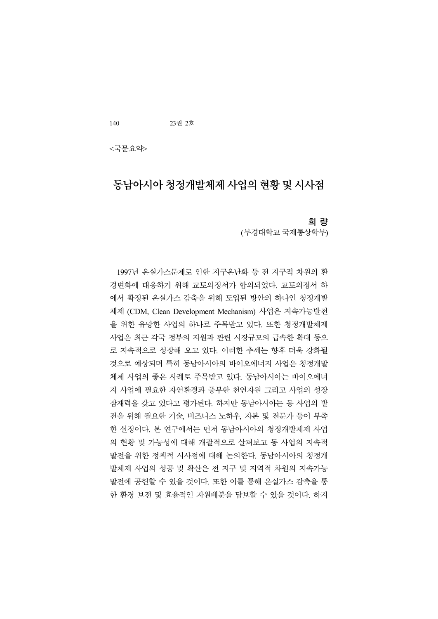<국문요약>

# 동남아시아 청정개발체제 사업의 현황 및 시사점

### 희 량

(부경대학교 국제통상학부)

1997년 온실가스문제로 인한 지구온난화 등 전 지구적 차원의 환 경변화에 대응하기 위해 교토의정서가 합의되었다. 교토의정서 하 에서 확정된 온실가스 감축을 위해 도입된 방안의 하나인 청정개발 체제 (CDM, Clean Development Mechanism) 사업은 지속가능발전 을 위한 유망한 사업의 하나로 주목받고 있다. 또한 청정개발체제 사업은 최근 각국 정부의 지원과 관련 시장규모의 급속한 확대 등으 로 지속적으로 성장해 오고 있다. 이러한 추세는 향후 더욱 강화될 것으로 예상되며 특히 동남아시아의 바이오에너지 사업은 청정개발 체제 사업의 좋은 사례로 주목받고 있다. 동남아시아는 바이오에너 지 사업에 필요한 자연환경과 풍부한 천연자원 그리고 사업의 성장 잠재력을 갖고 있다고 평가된다. 하지만 동남아시아는 동 사업의 발 전을 위해 필요한 기술, 비즈니스 노하우, 자본 및 전문가 등이 부족 한 실정이다. 본 연구에서는 먼저 동남아시아의 청정개발체제 사업 의 현황 및 가능성에 대해 개괄적으로 살펴보고 동 사업의 지속적 발전을 위한 정책적 시사점에 대해 논의한다. 동남아시아의 청정개 발체제 사업의 성공 및 확산은 전 지구 및 지역적 차원의 지속가능 발전에 공헌할 수 있을 것이다. 또한 이를 통해 온실가스 감축을 통 한 환경 보전 및 효율적인 자원배분을 담보할 수 있을 것이다. 하지